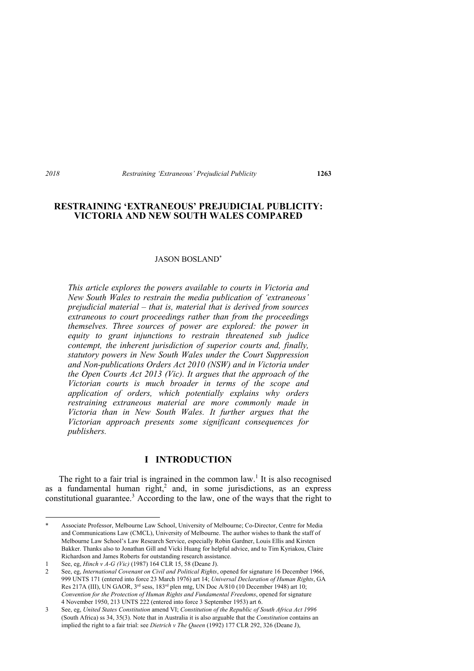# **RESTRAINING 'EXTRANEOUS' PREJUDICIAL PUBLICITY: VICTORIA AND NEW SOUTH WALES COMPARED**

#### JASON BOSLAND\*

*This article explores the powers available to courts in Victoria and New South Wales to restrain the media publication of 'extraneous' prejudicial material – that is, material that is derived from sources extraneous to court proceedings rather than from the proceedings themselves. Three sources of power are explored: the power in equity to grant injunctions to restrain threatened sub judice contempt, the inherent jurisdiction of superior courts and, finally, statutory powers in New South Wales under the Court Suppression and Non-publications Orders Act 2010 (NSW) and in Victoria under the Open Courts Act 2013 (Vic). It argues that the approach of the Victorian courts is much broader in terms of the scope and application of orders, which potentially explains why orders restraining extraneous material are more commonly made in Victoria than in New South Wales. It further argues that the Victorian approach presents some significant consequences for publishers.* 

# **I INTRODUCTION**

The right to a fair trial is ingrained in the common law.<sup>1</sup> It is also recognised as a fundamental human right,<sup>2</sup> and, in some jurisdictions, as an express constitutional guarantee.<sup>3</sup> According to the law, one of the ways that the right to

<sup>\*</sup> Associate Professor, Melbourne Law School, University of Melbourne; Co-Director, Centre for Media and Communications Law (CMCL), University of Melbourne. The author wishes to thank the staff of Melbourne Law School's Law Research Service, especially Robin Gardner, Louis Ellis and Kirsten Bakker. Thanks also to Jonathan Gill and Vicki Huang for helpful advice, and to Tim Kyriakou, Claire Richardson and James Roberts for outstanding research assistance.

<sup>1</sup> See, eg, *Hinch v A-G (Vic)* (1987) 164 CLR 15, 58 (Deane J).

<sup>2</sup> See, eg, *International Covenant on Civil and Political Rights*, opened for signature 16 December 1966, 999 UNTS 171 (entered into force 23 March 1976) art 14; *Universal Declaration of Human Rights*, GA Res 217A (III), UN GAOR, 3<sup>rd</sup> sess, 183<sup>rd</sup> plen mtg, UN Doc A/810 (10 December 1948) art 10; *Convention for the Protection of Human Rights and Fundamental Freedoms*, opened for signature 4 November 1950, 213 UNTS 222 (entered into force 3 September 1953) art 6.

<sup>3</sup> See, eg, *United States Constitution* amend VI; *Constitution of the Republic of South Africa Act 1996* (South Africa) ss 34, 35(3). Note that in Australia it is also arguable that the *Constitution* contains an implied the right to a fair trial: see *Dietrich v The Queen* (1992) 177 CLR 292, 326 (Deane J),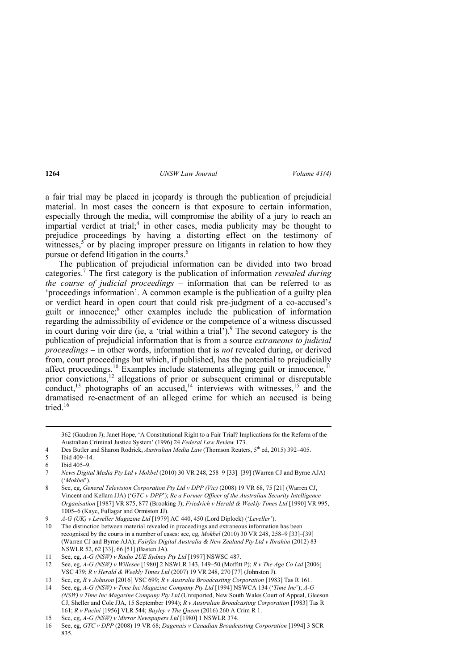a fair trial may be placed in jeopardy is through the publication of prejudicial material. In most cases the concern is that exposure to certain information, especially through the media, will compromise the ability of a jury to reach an impartial verdict at trial;<sup>4</sup> in other cases, media publicity may be thought to prejudice proceedings by having a distorting effect on the testimony of witnesses,<sup>5</sup> or by placing improper pressure on litigants in relation to how they pursue or defend litigation in the courts.<sup>6</sup>

The publication of prejudicial information can be divided into two broad categories.<sup>7</sup> The first category is the publication of information *revealed during the course of judicial proceedings* – information that can be referred to as 'proceedings information'. A common example is the publication of a guilty plea or verdict heard in open court that could risk pre-judgment of a co-accused's guilt or innocence;<sup>8</sup> other examples include the publication of information regarding the admissibility of evidence or the competence of a witness discussed in court during voir dire (ie, a 'trial within a trial').<sup>9</sup> The second category is the publication of prejudicial information that is from a source *extraneous to judicial proceedings* – in other words, information that is *not* revealed during, or derived from, court proceedings but which, if published, has the potential to prejudicially affect proceedings.<sup>10</sup> Examples include statements alleging guilt or innocence,<sup>11</sup> prior convictions,<sup>12</sup> allegations of prior or subsequent criminal or disreputable conduct,<sup>13</sup> photographs of an accused,<sup>14</sup> interviews with witnesses,<sup>15</sup> and the dramatised re-enactment of an alleged crime for which an accused is being tried.<sup>16</sup>

362 (Gaudron J); Janet Hope, 'A Constitutional Right to a Fair Trial? Implications for the Reform of the Australian Criminal Justice System' (1996) 24 *Federal Law Review* 173.

<u> Andrewski politika (za obrazu za obrazu za obrazu za obrazu za obrazu za obrazu za obrazu za obrazu za obrazu</u>

<sup>4</sup> Des Butler and Sharon Rodrick, *Australian Media Law* (Thomson Reuters, 5<sup>th</sup> ed, 2015) 392-405.

<sup>5</sup> Ibid 409–14.

<sup>6</sup> Ibid 405–9.

<sup>7</sup> *News Digital Media Pty Ltd v Mokbel* (2010) 30 VR 248, 258–9 [33]–[39] (Warren CJ and Byrne AJA) ('*Mokbel*').

<sup>8</sup> See, eg, *General Television Corporation Pty Ltd v DPP (Vic)* (2008) 19 VR 68, 75 [21] (Warren CJ, Vincent and Kellam JJA) ('*GTC v DPP*'); *Re a Former Officer of the Australian Security Intelligence Organisation* [1987] VR 875, 877 (Brooking J); *Friedrich v Herald & Weekly Times Ltd* [1990] VR 995, 1005–6 (Kaye, Fullagar and Ormiston JJ).

<sup>9</sup> *A-G (UK) v Leveller Magazine Ltd* [1979] AC 440, 450 (Lord Diplock) ('*Leveller*').

<sup>10</sup> The distinction between material revealed in proceedings and extraneous information has been recognised by the courts in a number of cases: see, eg, *Mokbel* (2010) 30 VR 248, 258–9 [33]–[39] (Warren CJ and Byrne AJA); *Fairfax Digital Australia & New Zealand Pty Ltd v Ibrahim* (2012) 83 NSWLR 52, 62 [33], 66 [51] (Basten JA).

<sup>11</sup> See, eg, *A-G (NSW) v Radio 2UE Sydney Pty Ltd* [1997] NSWSC 487.

<sup>12</sup> See, eg, *A-G (NSW) v Willesee* [1980] 2 NSWLR 143, 149–50 (Moffitt P); *R v The Age Co Ltd* [2006] VSC 479; *R v Herald & Weekly Times Ltd* (2007) 19 VR 248, 270 [77] (Johnston J).

<sup>13</sup> See, eg, *R v Johnson* [2016] VSC 699; *R v Australia Broadcasting Corporation* [1983] Tas R 161.

<sup>14</sup> See, eg, *A-G (NSW) v Time Inc Magazine Company Pty Ltd* [1994] NSWCA 134 ('*Time Inc*'); *A-G (NSW) v Time Inc Magazine Company Pty Ltd* (Unreported, New South Wales Court of Appeal, Gleeson CJ, Sheller and Cole JJA, 15 September 1994); *R v Australian Broadcasting Corporation* [1983] Tas R 161; *R v Pacini* [1956] VLR 544; *Bayley v The Queen* (2016) 260 A Crim R 1.

<sup>15</sup> See, eg, *A-G (NSW) v Mirror Newspapers Ltd* [1980] 1 NSWLR 374.

<sup>16</sup> See, eg, *GTC v DPP* (2008) 19 VR 68; *Dagenais v Canadian Broadcasting Corporation* [1994] 3 SCR 835.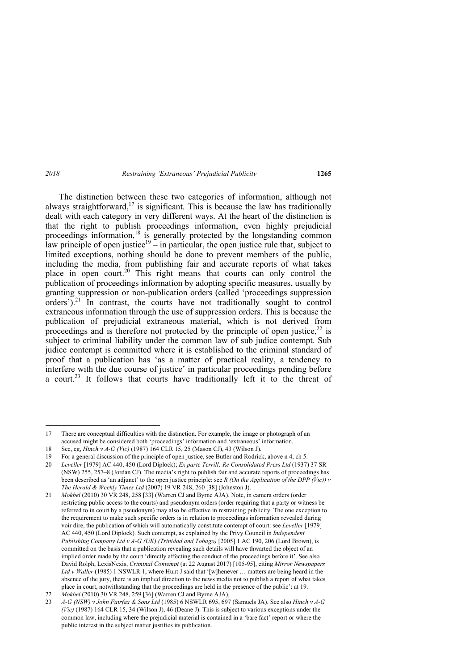The distinction between these two categories of information, although not always straightforward,<sup>17</sup> is significant. This is because the law has traditionally dealt with each category in very different ways. At the heart of the distinction is that the right to publish proceedings information, even highly prejudicial proceedings information,<sup>18</sup> is generally protected by the longstanding common law principle of open justice<sup>19</sup> – in particular, the open justice rule that, subject to limited exceptions, nothing should be done to prevent members of the public, including the media, from publishing fair and accurate reports of what takes place in open court.<sup>20</sup> This right means that courts can only control the publication of proceedings information by adopting specific measures, usually by granting suppression or non-publication orders (called 'proceedings suppression orders').<sup>21</sup> In contrast, the courts have not traditionally sought to control extraneous information through the use of suppression orders. This is because the publication of prejudicial extraneous material, which is not derived from proceedings and is therefore not protected by the principle of open justice,  $2^2$  is subject to criminal liability under the common law of sub judice contempt. Sub judice contempt is committed where it is established to the criminal standard of proof that a publication has 'as a matter of practical reality, a tendency to interfere with the due course of justice' in particular proceedings pending before a court.<sup>23</sup> It follows that courts have traditionally left it to the threat of

<sup>17</sup> There are conceptual difficulties with the distinction. For example, the image or photograph of an accused might be considered both 'proceedings' information and 'extraneous' information.

<sup>18</sup> See, eg, *Hinch v A-G (Vic)* (1987) 164 CLR 15, 25 (Mason CJ), 43 (Wilson J).

<sup>19</sup> For a general discussion of the principle of open justice, see Butler and Rodrick, above n 4, ch 5.

<sup>20</sup> *Leveller* [1979] AC 440, 450 (Lord Diplock); *Ex parte Terrill; Re Consolidated Press Ltd* (1937) 37 SR (NSW) 255, 257–8 (Jordan CJ). The media's right to publish fair and accurate reports of proceedings has been described as 'an adjunct' to the open justice principle: see *R (On the Application of the DPP (Vic)) v The Herald & Weekly Times Ltd* (2007) 19 VR 248, 260 [38] (Johnston J).

<sup>21</sup> *Mokbel* (2010) 30 VR 248, 258 [33] (Warren CJ and Byrne AJA). Note, in camera orders (order restricting public access to the courts) and pseudonym orders (order requiring that a party or witness be referred to in court by a pseudonym) may also be effective in restraining publicity. The one exception to the requirement to make such specific orders is in relation to proceedings information revealed during voir dire, the publication of which will automatically constitute contempt of court: see *Leveller* [1979] AC 440, 450 (Lord Diplock). Such contempt, as explained by the Privy Council in *Independent Publishing Company Ltd v A-G (UK) (Trinidad and Tobago)* [2005] 1 AC 190, 206 (Lord Brown), is committed on the basis that a publication revealing such details will have thwarted the object of an implied order made by the court 'directly affecting the conduct of the proceedings before it'. See also David Rolph, LexisNexis, *Criminal Contempt* (at 22 August 2017) [105-95], citing *Mirror Newspapers*  Ltd v Waller (1985) 1 NSWLR 1, where Hunt J said that '[w]henever ... matters are being heard in the absence of the jury, there is an implied direction to the news media not to publish a report of what takes place in court, notwithstanding that the proceedings are held in the presence of the public': at 19.

<sup>22</sup> *Mokbel* (2010) 30 VR 248, 259 [36] (Warren CJ and Byrne AJA),

<sup>23</sup> *A-G (NSW) v John Fairfax & Sons Ltd* (1985) 6 NSWLR 695, 697 (Samuels JA). See also *Hinch v A-G (Vic)* (1987) 164 CLR 15, 34 (Wilson J), 46 (Deane J). This is subject to various exceptions under the common law, including where the prejudicial material is contained in a 'bare fact' report or where the public interest in the subject matter justifies its publication.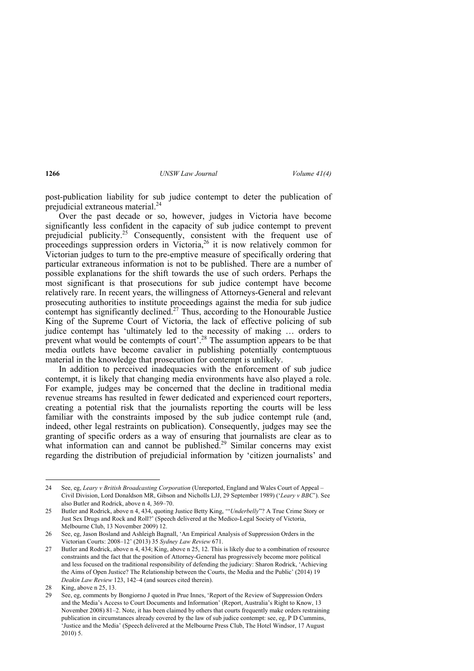post-publication liability for sub judice contempt to deter the publication of prejudicial extraneous material.<sup>24</sup>

Over the past decade or so, however, judges in Victoria have become significantly less confident in the capacity of sub judice contempt to prevent prejudicial publicity.<sup>25</sup> Consequently, consistent with the frequent use of proceedings suppression orders in Victoria,  $2^6$  it is now relatively common for Victorian judges to turn to the pre-emptive measure of specifically ordering that particular extraneous information is not to be published. There are a number of possible explanations for the shift towards the use of such orders. Perhaps the most significant is that prosecutions for sub judice contempt have become relatively rare. In recent years, the willingness of Attorneys-General and relevant prosecuting authorities to institute proceedings against the media for sub judice contempt has significantly declined.<sup>27</sup> Thus, according to the Honourable Justice King of the Supreme Court of Victoria, the lack of effective policing of sub judice contempt has 'ultimately led to the necessity of making … orders to prevent what would be contempts of court<sup>'.28</sup> The assumption appears to be that media outlets have become cavalier in publishing potentially contemptuous material in the knowledge that prosecution for contempt is unlikely.

In addition to perceived inadequacies with the enforcement of sub judice contempt, it is likely that changing media environments have also played a role. For example, judges may be concerned that the decline in traditional media revenue streams has resulted in fewer dedicated and experienced court reporters, creating a potential risk that the journalists reporting the courts will be less familiar with the constraints imposed by the sub judice contempt rule (and, indeed, other legal restraints on publication). Consequently, judges may see the granting of specific orders as a way of ensuring that journalists are clear as to what information can and cannot be published.<sup>29</sup> Similar concerns may exist regarding the distribution of prejudicial information by 'citizen journalists' and

<sup>24</sup> See, eg, *Leary v British Broadcasting Corporation* (Unreported, England and Wales Court of Appeal – Civil Division, Lord Donaldson MR, Gibson and Nicholls LJJ, 29 September 1989) ('*Leary v BBC*'). See also Butler and Rodrick, above n 4, 369–70.

<sup>25</sup> Butler and Rodrick, above n 4, 434, quoting Justice Betty King, '"*Underbelly*"? A True Crime Story or Just Sex Drugs and Rock and Roll?' (Speech delivered at the Medico-Legal Society of Victoria, Melbourne Club, 13 November 2009) 12.

<sup>26</sup> See, eg, Jason Bosland and Ashleigh Bagnall, 'An Empirical Analysis of Suppression Orders in the Victorian Courts: 2008–12' (2013) 35 *Sydney Law Review* 671.

<sup>27</sup> Butler and Rodrick, above n 4, 434; King, above n 25, 12. This is likely due to a combination of resource constraints and the fact that the position of Attorney-General has progressively become more political and less focused on the traditional responsibility of defending the judiciary: Sharon Rodrick, 'Achieving the Aims of Open Justice? The Relationship between the Courts, the Media and the Public' (2014) 19 *Deakin Law Review* 123, 142–4 (and sources cited therein).

<sup>28</sup> King, above n 25, 13.

<sup>29</sup> See, eg, comments by Bongiorno J quoted in Prue Innes, 'Report of the Review of Suppression Orders and the Media's Access to Court Documents and Information' (Report, Australia's Right to Know, 13 November 2008) 81–2. Note, it has been claimed by others that courts frequently make orders restraining publication in circumstances already covered by the law of sub judice contempt: see, eg, P D Cummins, 'Justice and the Media' (Speech delivered at the Melbourne Press Club, The Hotel Windsor, 17 August 2010) 5.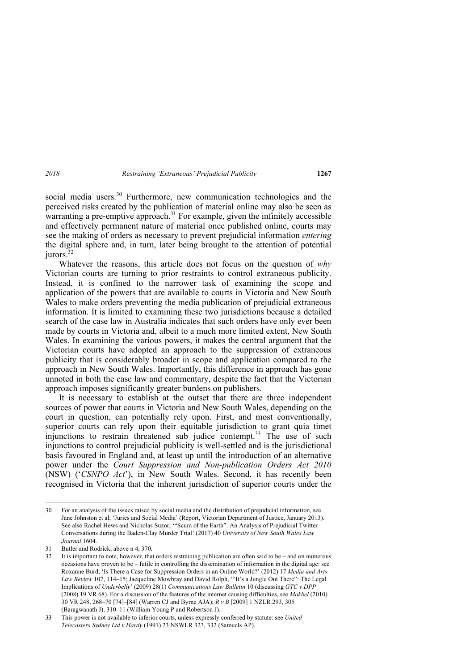social media users.<sup>30</sup> Furthermore, new communication technologies and the perceived risks created by the publication of material online may also be seen as warranting a pre-emptive approach.<sup>31</sup> For example, given the infinitely accessible and effectively permanent nature of material once published online, courts may see the making of orders as necessary to prevent prejudicial information *entering* the digital sphere and, in turn, later being brought to the attention of potential jurors.<sup>32</sup>

Whatever the reasons, this article does not focus on the question of *why*  Victorian courts are turning to prior restraints to control extraneous publicity. Instead, it is confined to the narrower task of examining the scope and application of the powers that are available to courts in Victoria and New South Wales to make orders preventing the media publication of prejudicial extraneous information. It is limited to examining these two jurisdictions because a detailed search of the case law in Australia indicates that such orders have only ever been made by courts in Victoria and, albeit to a much more limited extent, New South Wales. In examining the various powers, it makes the central argument that the Victorian courts have adopted an approach to the suppression of extraneous publicity that is considerably broader in scope and application compared to the approach in New South Wales. Importantly, this difference in approach has gone unnoted in both the case law and commentary, despite the fact that the Victorian approach imposes significantly greater burdens on publishers.

It is necessary to establish at the outset that there are three independent sources of power that courts in Victoria and New South Wales, depending on the court in question, can potentially rely upon. First, and most conventionally, superior courts can rely upon their equitable jurisdiction to grant quia timet injunctions to restrain threatened sub judice contempt.<sup>33</sup> The use of such injunctions to control prejudicial publicity is well-settled and is the jurisdictional basis favoured in England and, at least up until the introduction of an alternative power under the *Court Suppression and Non-publication Orders Act 2010*  (NSW) ('*CSNPO Act*'), in New South Wales. Second, it has recently been recognised in Victoria that the inherent jurisdiction of superior courts under the

<sup>30</sup> For an analysis of the issues raised by social media and the distribution of prejudicial information, see Jane Johnston et al, 'Juries and Social Media' (Report, Victorian Department of Justice, January 2013). See also Rachel Hews and Nicholas Suzor, '"Scum of the Earth": An Analysis of Prejudicial Twitter Conversations during the Baden-Clay Murder Trial' (2017) 40 *University of New South Wales Law Journal* 1604.

<sup>31</sup> Butler and Rodrick, above n 4, 370.

<sup>32</sup> It is important to note, however, that orders restraining publication are often said to be – and on numerous occasions have proven to be – futile in controlling the dissemination of information in the digital age: see Roxanne Burd, 'Is There a Case for Suppression Orders in an Online World?' (2012) 17 *Media and Arts Law Review* 107, 114–15; Jacqueline Mowbray and David Rolph, '"It's a Jungle Out There": The Legal Implications of *Underbelly*' (2009) 28(1) *Communications Law Bulletin* 10 (discussing *GTC v DPP*  (2008) 19 VR 68). For a discussion of the features of the internet causing difficulties, see *Mokbel* (2010) 30 VR 248, 268–70 [74]–[84] (Warren CJ and Byrne AJA); *R v B* [2009] 1 NZLR 293, 305 (Baragwanath J), 310–11 (William Young P and Robertson J).

<sup>33</sup> This power is not available to inferior courts, unless expressly conferred by statute: see *United Telecasters Sydney Ltd v Hardy* (1991) 23 NSWLR 323, 332 (Samuels AP).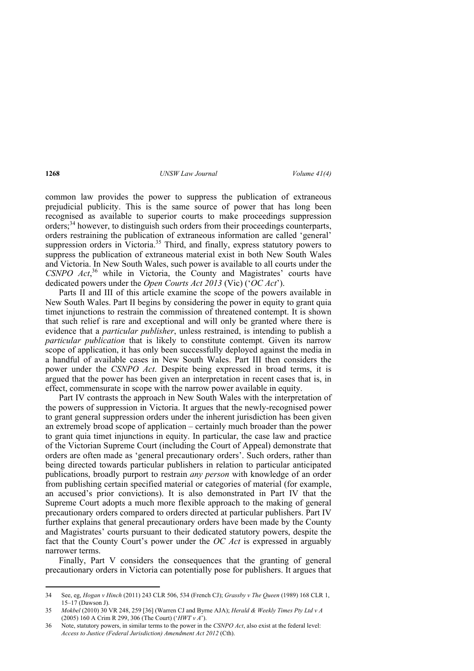common law provides the power to suppress the publication of extraneous prejudicial publicity. This is the same source of power that has long been recognised as available to superior courts to make proceedings suppression orders;<sup>34</sup> however, to distinguish such orders from their proceedings counterparts, orders restraining the publication of extraneous information are called 'general' suppression orders in Victoria.<sup>35</sup> Third, and finally, express statutory powers to suppress the publication of extraneous material exist in both New South Wales and Victoria. In New South Wales, such power is available to all courts under the CSNPO Act,<sup>36</sup> while in Victoria, the County and Magistrates' courts have dedicated powers under the *Open Courts Act 2013* (Vic) ('*OC Act*').

Parts II and III of this article examine the scope of the powers available in New South Wales. Part II begins by considering the power in equity to grant quia timet injunctions to restrain the commission of threatened contempt. It is shown that such relief is rare and exceptional and will only be granted where there is evidence that a *particular publisher*, unless restrained, is intending to publish a *particular publication* that is likely to constitute contempt. Given its narrow scope of application, it has only been successfully deployed against the media in a handful of available cases in New South Wales. Part III then considers the power under the *CSNPO Act*. Despite being expressed in broad terms, it is argued that the power has been given an interpretation in recent cases that is, in effect, commensurate in scope with the narrow power available in equity.

Part IV contrasts the approach in New South Wales with the interpretation of the powers of suppression in Victoria. It argues that the newly-recognised power to grant general suppression orders under the inherent jurisdiction has been given an extremely broad scope of application – certainly much broader than the power to grant quia timet injunctions in equity. In particular, the case law and practice of the Victorian Supreme Court (including the Court of Appeal) demonstrate that orders are often made as 'general precautionary orders'. Such orders, rather than being directed towards particular publishers in relation to particular anticipated publications, broadly purport to restrain *any person* with knowledge of an order from publishing certain specified material or categories of material (for example, an accused's prior convictions). It is also demonstrated in Part IV that the Supreme Court adopts a much more flexible approach to the making of general precautionary orders compared to orders directed at particular publishers. Part IV further explains that general precautionary orders have been made by the County and Magistrates' courts pursuant to their dedicated statutory powers, despite the fact that the County Court's power under the *OC Act* is expressed in arguably narrower terms.

Finally, Part V considers the consequences that the granting of general precautionary orders in Victoria can potentially pose for publishers. It argues that

<sup>34</sup> See, eg, *Hogan v Hinch* (2011) 243 CLR 506, 534 (French CJ); *Grassby v The Queen* (1989) 168 CLR 1, 15–17 (Dawson J).

<sup>35</sup> *Mokbel* (2010) 30 VR 248, 259 [36] (Warren CJ and Byrne AJA); *Herald & Weekly Times Pty Ltd v A*  (2005) 160 A Crim R 299, 306 (The Court) ('*HWT v A*').

<sup>36</sup> Note, statutory powers, in similar terms to the power in the *CSNPO Act*, also exist at the federal level: *Access to Justice (Federal Jurisdiction) Amendment Act 2012* (Cth).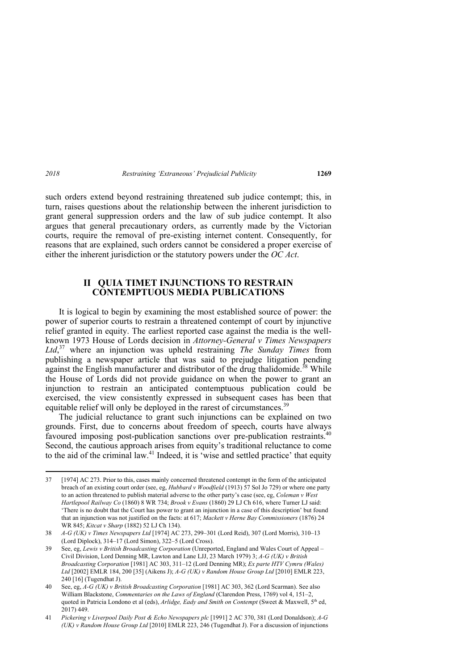such orders extend beyond restraining threatened sub judice contempt; this, in turn, raises questions about the relationship between the inherent jurisdiction to grant general suppression orders and the law of sub judice contempt. It also argues that general precautionary orders, as currently made by the Victorian courts, require the removal of pre-existing internet content. Consequently, for reasons that are explained, such orders cannot be considered a proper exercise of either the inherent jurisdiction or the statutory powers under the *OC Act*.

## **II QUIA TIMET INJUNCTIONS TO RESTRAIN CONTEMPTUOUS MEDIA PUBLICATIONS**

It is logical to begin by examining the most established source of power: the power of superior courts to restrain a threatened contempt of court by injunctive relief granted in equity. The earliest reported case against the media is the wellknown 1973 House of Lords decision in *Attorney-General v Times Newspapers Ltd*, <sup>37</sup> where an injunction was upheld restraining *The Sunday Times* from publishing a newspaper article that was said to prejudge litigation pending against the English manufacturer and distributor of the drug thalidomide.<sup>38</sup> While the House of Lords did not provide guidance on when the power to grant an injunction to restrain an anticipated contemptuous publication could be exercised, the view consistently expressed in subsequent cases has been that equitable relief will only be deployed in the rarest of circumstances.<sup>39</sup>

The judicial reluctance to grant such injunctions can be explained on two grounds. First, due to concerns about freedom of speech, courts have always favoured imposing post-publication sanctions over pre-publication restraints.<sup>40</sup> Second, the cautious approach arises from equity's traditional reluctance to come to the aid of the criminal law.<sup>41</sup> Indeed, it is 'wise and settled practice' that equity

<sup>37 [1974]</sup> AC 273. Prior to this, cases mainly concerned threatened contempt in the form of the anticipated breach of an existing court order (see, eg, *Hubbard v Woodfield* (1913) 57 Sol Jo 729) or where one party to an action threatened to publish material adverse to the other party's case (see, eg, *Coleman v West Hartlepool Railway Co* (1860) 8 WR 734; *Brook v Evans* (1860) 29 LJ Ch 616, where Turner LJ said: 'There is no doubt that the Court has power to grant an injunction in a case of this description' but found that an injunction was not justified on the facts: at 617; *Mackett v Herne Bay Commissioners* (1876) 24 WR 845; *Kitcat v Sharp* (1882) 52 LJ Ch 134).

<sup>38</sup> *A-G (UK) v Times Newspapers Ltd* [1974] AC 273, 299–301 (Lord Reid), 307 (Lord Morris), 310–13 (Lord Diplock), 314–17 (Lord Simon), 322–5 (Lord Cross).

<sup>39</sup> See, eg, *Lewis v British Broadcasting Corporation* (Unreported, England and Wales Court of Appeal – Civil Division, Lord Denning MR, Lawton and Lane LJJ, 23 March 1979) 3; *A-G (UK) v British Broadcasting Corporation* [1981] AC 303, 311–12 (Lord Denning MR); *Ex parte HTV Cymru (Wales) Ltd* [2002] EMLR 184, 200 [35] (Aikens J); *A-G (UK) v Random House Group Ltd* [2010] EMLR 223, 240 [16] (Tugendhat J).

<sup>40</sup> See, eg, *A-G (UK) v British Broadcasting Corporation* [1981] AC 303, 362 (Lord Scarman). See also William Blackstone, *Commentaries on the Laws of England* (Clarendon Press, 1769) vol 4, 151–2, quoted in Patricia Londono et al (eds), *Arlidge, Eady and Smith on Contempt* (Sweet & Maxwell, 5<sup>th</sup> ed, 2017) 449.

<sup>41</sup> *Pickering v Liverpool Daily Post & Echo Newspapers plc* [1991] 2 AC 370, 381 (Lord Donaldson); *A-G (UK) v Random House Group Ltd* [2010] EMLR 223, 246 (Tugendhat J). For a discussion of injunctions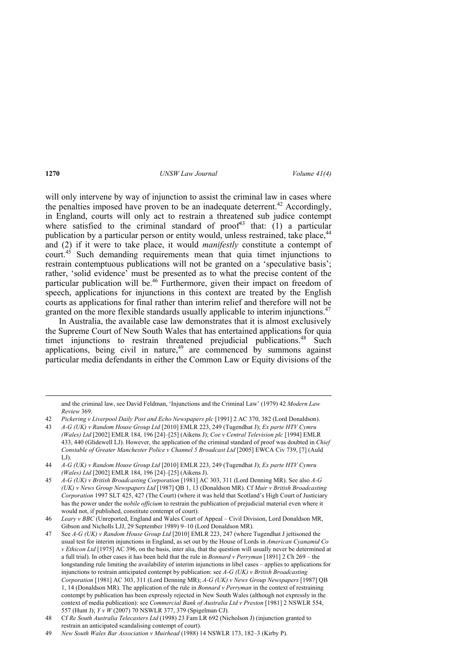will only intervene by way of injunction to assist the criminal law in cases where the penalties imposed have proven to be an inadequate deterrent.<sup>42</sup> Accordingly, in England, courts will only act to restrain a threatened sub judice contempt where satisfied to the criminal standard of  $proof<sup>43</sup>$  that: (1) a particular publication by a particular person or entity would, unless restrained, take place,<sup>44</sup> and (2) if it were to take place, it would *manifestly* constitute a contempt of court.45 Such demanding requirements mean that quia timet injunctions to restrain contemptuous publications will not be granted on a 'speculative basis'; rather, 'solid evidence' must be presented as to what the precise content of the particular publication will be.<sup>46</sup> Furthermore, given their impact on freedom of speech, applications for injunctions in this context are treated by the English courts as applications for final rather than interim relief and therefore will not be granted on the more flexible standards usually applicable to interim injunctions.<sup>47</sup>

In Australia, the available case law demonstrates that it is almost exclusively the Supreme Court of New South Wales that has entertained applications for quia timet injunctions to restrain threatened prejudicial publications.<sup>48</sup> Such applications, being civil in nature, $49$  are commenced by summons against particular media defendants in either the Common Law or Equity divisions of the

<u> Andreas Andreas Andreas Andreas Andreas Andreas Andreas Andreas Andreas Andreas Andreas Andreas Andreas Andr</u> and the criminal law, see David Feldman, 'Injunctions and the Criminal Law' (1979) 42 *Modern Law Review* 369.

43 *A-G (UK) v Random House Group Ltd* [2010] EMLR 223, 249 (Tugendhat J); *Ex parte HTV Cymru (Wales) Ltd* [2002] EMLR 184, 196 [24]–[25] (Aikens J); *Coe v Central Television plc* [1994] EMLR 433, 440 (Glidewell LJ). However, the application of the criminal standard of proof was doubted in *Chief Constable of Greater Manchester Police v Channel 5 Broadcast Ltd* [2005] EWCA Civ 739, [7] (Auld LJ).

<sup>42</sup> *Pickering v Liverpool Daily Post and Echo Newspapers plc* [1991] 2 AC 370, 382 (Lord Donaldson).

<sup>44</sup> *A-G (UK) v Random House Group Ltd* [2010] EMLR 223, 249 (Tugendhat J); *Ex parte HTV Cymru (Wales) Ltd* [2002] EMLR 184, 196 [24]–[25] (Aikens J).

<sup>45</sup> *A-G (UK) v British Broadcasting Corporation* [1981] AC 303, 311 (Lord Denning MR). See also *A-G (UK) v News Group Newspapers Ltd* [1987] QB 1, 13 (Donaldson MR). Cf *Muir v British Broadcasting Corporation* 1997 SLT 425, 427 (The Court) (where it was held that Scotland's High Court of Justiciary has the power under the *nobile officium* to restrain the publication of prejudicial material even where it would not, if published, constitute contempt of court).

<sup>46</sup> *Leary v BBC* (Unreported, England and Wales Court of Appeal – Civil Division, Lord Donaldson MR, Gibson and Nicholls LJJ, 29 September 1989) 9–10 (Lord Donaldson MR).

<sup>47</sup> See *A-G (UK) v Random House Group Ltd* [2010] EMLR 223, 247 (where Tugendhat J jettisoned the usual test for interim injunctions in England, as set out by the House of Lords in *American Cyanamid Co v Ethicon Ltd* [1975] AC 396, on the basis, inter alia, that the question will usually never be determined at a full trial). In other cases it has been held that the rule in *Bonnard v Perryman* [1891] 2 Ch 269 – the longstanding rule limiting the availability of interim injunctions in libel cases – applies to applications for injunctions to restrain anticipated contempt by publication: see *A-G (UK) v British Broadcasting Corporation* [1981] AC 303, 311 (Lord Denning MR); *A-G (UK) v News Group Newspapers* [1987] QB 1, 14 (Donaldson MR). The application of the rule in *Bonnard v Perryman* in the context of restraining contempt by publication has been expressly rejected in New South Wales (although not expressly in the context of media publication): see *Commercial Bank of Australia Ltd v Preston* [1981] 2 NSWLR 554, 557 (Hunt J); *Y v W* (2007) 70 NSWLR 377, 379 (Spigelman CJ).

<sup>48</sup> Cf *Re South Australia Telecasters Ltd* (1998) 23 Fam LR 692 (Nicholson J) (injunction granted to restrain an anticipated scandalising contempt of court).

<sup>49</sup> *New South Wales Bar Association v Muirhead* (1988) 14 NSWLR 173, 182–3 (Kirby P).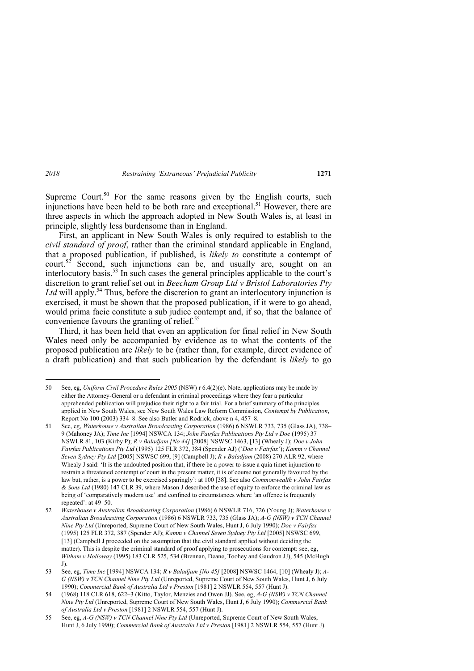Supreme Court.<sup>50</sup> For the same reasons given by the English courts, such injunctions have been held to be both rare and exceptional.<sup>51</sup> However, there are three aspects in which the approach adopted in New South Wales is, at least in principle, slightly less burdensome than in England.

First, an applicant in New South Wales is only required to establish to the *civil standard of proof*, rather than the criminal standard applicable in England, that a proposed publication, if published, is *likely to* constitute a contempt of court.<sup>52</sup> Second, such injunctions can be, and usually are, sought on an interlocutory basis.53 In such cases the general principles applicable to the court's discretion to grant relief set out in *Beecham Group Ltd v Bristol Laboratories Pty*  Ltd will apply.<sup>54</sup> Thus, before the discretion to grant an interlocutory injunction is exercised, it must be shown that the proposed publication, if it were to go ahead, would prima facie constitute a sub judice contempt and, if so, that the balance of convenience favours the granting of relief.<sup>55</sup>

Third, it has been held that even an application for final relief in New South Wales need only be accompanied by evidence as to what the contents of the proposed publication are *likely* to be (rather than, for example, direct evidence of a draft publication) and that such publication by the defendant is *likely* to go

<sup>50</sup> See, eg, *Uniform Civil Procedure Rules 2005* (NSW) r 6.4(2)(e). Note, applications may be made by either the Attorney-General or a defendant in criminal proceedings where they fear a particular apprehended publication will prejudice their right to a fair trial. For a brief summary of the principles applied in New South Wales, see New South Wales Law Reform Commission, *Contempt by Publication*, Report No 100 (2003) 334–8. See also Butler and Rodrick, above n 4, 457–8.

<sup>51</sup> See, eg, *Waterhouse v Australian Broadcasting Corporation* (1986) 6 NSWLR 733, 735 (Glass JA), 738– 9 (Mahoney JA); *Time Inc* [1994] NSWCA 134; *John Fairfax Publications Pty Ltd v Doe* (1995) 37 NSWLR 81, 103 (Kirby P); *R v Baladjam [No 44]* [2008] NSWSC 1463, [13] (Whealy J); *Doe v John Fairfax Publications Pty Ltd* (1995) 125 FLR 372, 384 (Spender AJ) ('*Doe v Fairfax*'); *Kamm v Channel Seven Sydney Pty Ltd* [2005] NSWSC 699, [9] (Campbell J); *R v Baladjam* (2008) 270 ALR 92, where Whealy J said: 'It is the undoubted position that, if there be a power to issue a quia timet injunction to restrain a threatened contempt of court in the present matter, it is of course not generally favoured by the law but, rather, is a power to be exercised sparingly': at 100 [38]. See also *Commonwealth v John Fairfax & Sons Ltd* (1980) 147 CLR 39, where Mason J described the use of equity to enforce the criminal law as being of 'comparatively modern use' and confined to circumstances where 'an offence is frequently repeated': at 49–50.

<sup>52</sup> *Waterhouse v Australian Broadcasting Corporation* (1986) 6 NSWLR 716, 726 (Young J); *Waterhouse v Australian Broadcasting Corporation* (1986) 6 NSWLR 733, 735 (Glass JA); *A-G (NSW) v TCN Channel Nine Pty Ltd* (Unreported, Supreme Court of New South Wales, Hunt J, 6 July 1990); *Doe v Fairfax*  (1995) 125 FLR 372, 387 (Spender AJ); *Kamm v Channel Seven Sydney Pty Ltd* [2005] NSWSC 699, [13] (Campbell J proceeded on the assumption that the civil standard applied without deciding the matter). This is despite the criminal standard of proof applying to prosecutions for contempt: see, eg, *Witham v Holloway* (1995) 183 CLR 525, 534 (Brennan, Deane, Toohey and Gaudron JJ), 545 (McHugh J).

<sup>53</sup> See, eg, *Time Inc* [1994] NSWCA 134; *R v Baladjam [No 45]* [2008] NSWSC 1464, [10] (Whealy J); *A-G (NSW) v TCN Channel Nine Pty Ltd* (Unreported, Supreme Court of New South Wales, Hunt J, 6 July 1990); *Commercial Bank of Australia Ltd v Preston* [1981] 2 NSWLR 554, 557 (Hunt J).

<sup>54 (1968) 118</sup> CLR 618, 622–3 (Kitto, Taylor, Menzies and Owen JJ). See, eg, *A-G (NSW) v TCN Channel Nine Pty Ltd* (Unreported, Supreme Court of New South Wales, Hunt J, 6 July 1990); *Commercial Bank of Australia Ltd v Preston* [1981] 2 NSWLR 554, 557 (Hunt J).

<sup>55</sup> See, eg, *A-G (NSW) v TCN Channel Nine Pty Ltd* (Unreported, Supreme Court of New South Wales, Hunt J, 6 July 1990); *Commercial Bank of Australia Ltd v Preston* [1981] 2 NSWLR 554, 557 (Hunt J).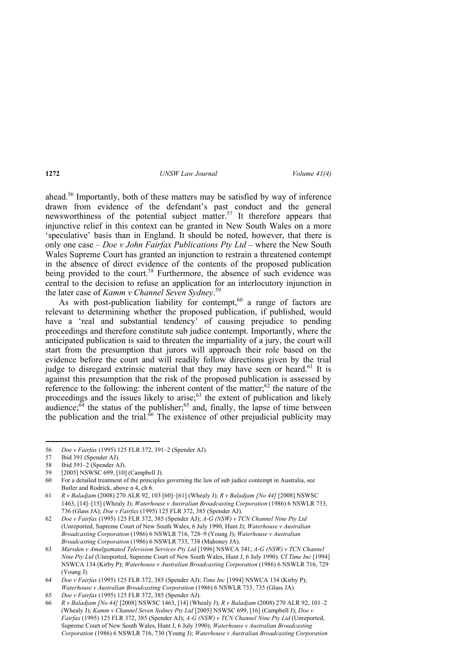ahead.56 Importantly, both of these matters may be satisfied by way of inference drawn from evidence of the defendant's past conduct and the general newsworthiness of the potential subject matter.<sup>57</sup> It therefore appears that injunctive relief in this context can be granted in New South Wales on a more 'speculative' basis than in England. It should be noted, however, that there is only one case – *Doe v John Fairfax Publications Pty Ltd* – where the New South Wales Supreme Court has granted an injunction to restrain a threatened contempt in the absence of direct evidence of the contents of the proposed publication being provided to the court.<sup>58</sup> Furthermore, the absence of such evidence was central to the decision to refuse an application for an interlocutory injunction in the later case of *Kamm v Channel Seven Sydney*. 59

As with post-publication liability for contempt, $60$  a range of factors are relevant to determining whether the proposed publication, if published, would have a 'real and substantial tendency' of causing prejudice to pending proceedings and therefore constitute sub judice contempt. Importantly, where the anticipated publication is said to threaten the impartiality of a jury, the court will start from the presumption that jurors will approach their role based on the evidence before the court and will readily follow directions given by the trial judge to disregard extrinsic material that they may have seen or heard.<sup>61</sup> It is against this presumption that the risk of the proposed publication is assessed by reference to the following: the inherent content of the matter; $62$  the nature of the proceedings and the issues likely to arise; $63$  the extent of publication and likely audience; $64$  the status of the publisher; $65$  and, finally, the lapse of time between the publication and the trial.<sup>66</sup> The existence of other prejudicial publicity may

<sup>56</sup> *Doe v Fairfax* (1995) 125 FLR 372, 391–2 (Spender AJ).

<sup>57</sup> Ibid 391 (Spender AJ).

<sup>58</sup> Ibid 391–2 (Spender AJ).

<sup>59 [2005]</sup> NSWSC 699, [10] (Campbell J).

<sup>60</sup> For a detailed treatment of the principles governing the law of sub judice contempt in Australia, see Butler and Rodrick, above n 4, ch 6.

<sup>61</sup> *R v Baladjam* (2008) 270 ALR 92, 103 [60]–[61] (Whealy J); *R v Baladjam [No 44]* [2008] NSWSC 1463, [14]–[15] (Whealy J); *Waterhouse v Australian Broadcasting Corporation* (1986) 6 NSWLR 733, 736 (Glass JA); *Doe v Fairfax* (1995) 125 FLR 372, 385 (Spender AJ).

<sup>62</sup> *Doe v Fairfax* (1995) 125 FLR 372, 385 (Spender AJ); *A-G (NSW) v TCN Channel Nine Pty Ltd* (Unreported, Supreme Court of New South Wales, 6 July 1990, Hunt J); *Waterhouse v Australian Broadcasting Corporation* (1986) 6 NSWLR 716, 728–9 (Young J); *Waterhouse v Australian Broadcasting Corporation* (1986) 6 NSWLR 733, 738 (Mahoney JA).

<sup>63</sup> *Marsden v Amalgamated Television Services Pty Ltd* [1996] NSWCA 341; *A-G (NSW) v TCN Channel Nine Pty Ltd* (Unreported, Supreme Court of New South Wales, Hunt J, 6 July 1990). Cf *Time Inc* [1994] NSWCA 134 (Kirby P); *Waterhouse v Australian Broadcasting Corporation* (1986) 6 NSWLR 716, 729 (Young J).

<sup>64</sup> *Doe v Fairfax* (1995) 125 FLR 372, 385 (Spender AJ); *Time Inc* [1994] NSWCA 134 (Kirby P); *Waterhouse v Australian Broadcasting Corporation* (1986) 6 NSWLR 733, 735 (Glass JA).

<sup>65</sup> *Doe v Fairfax* (1995) 125 FLR 372, 385 (Spender AJ).

<sup>66</sup> *R v Baladjam [No 44]* [2008] NSWSC 1463, [14] (Whealy J); *R v Baladjam* (2008) 270 ALR 92, 101–2 (Whealy J); *Kamm v Channel Seven Sydney Pty Ltd* [2005] NSWSC 699, [16] (Campbell J); *Doe v Fairfax* (1995) 125 FLR 372, 385 (Spender AJ); *A-G (NSW) v TCN Channel Nine Pty Ltd* (Unreported, Supreme Court of New South Wales, Hunt J, 6 July 1990); *Waterhouse v Australian Broadcasting Corporation* (1986) 6 NSWLR 716, 730 (Young J); *Waterhouse v Australian Broadcasting Corporation*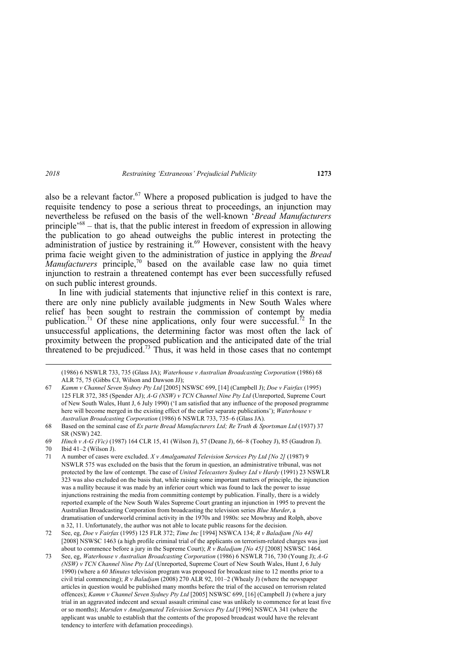also be a relevant factor.<sup>67</sup> Where a proposed publication is judged to have the requisite tendency to pose a serious threat to proceedings, an injunction may nevertheless be refused on the basis of the well-known '*Bread Manufacturers* principle<sup> $68$ </sup> – that is, that the public interest in freedom of expression in allowing the publication to go ahead outweighs the public interest in protecting the administration of justice by restraining it.<sup>69</sup> However, consistent with the heavy prima facie weight given to the administration of justice in applying the *Bread Manufacturers* principle,<sup>70</sup> based on the available case law no quia timet injunction to restrain a threatened contempt has ever been successfully refused on such public interest grounds.

In line with judicial statements that injunctive relief in this context is rare, there are only nine publicly available judgments in New South Wales where relief has been sought to restrain the commission of contempt by media publication.<sup>71</sup> Of these nine applications, only four were successful.<sup>72</sup> In the unsuccessful applications, the determining factor was most often the lack of proximity between the proposed publication and the anticipated date of the trial threatened to be prejudiced.<sup>73</sup> Thus, it was held in those cases that no contempt

69 *Hinch v A-G (Vic)* (1987) 164 CLR 15, 41 (Wilson J), 57 (Deane J), 66–8 (Toohey J), 85 (Gaudron J).

<sup>&</sup>lt;u> Andrewski politika (za obrazu za obrazu za obrazu za obrazu za obrazu za obrazu za obrazu za obrazu za obrazu</u> (1986) 6 NSWLR 733, 735 (Glass JA); *Waterhouse v Australian Broadcasting Corporation* (1986) 68 ALR 75, 75 (Gibbs CJ, Wilson and Dawson JJ);

<sup>67</sup> *Kamm v Channel Seven Sydney Pty Ltd* [2005] NSWSC 699, [14] (Campbell J); *Doe v Fairfax* (1995) 125 FLR 372, 385 (Spender AJ); *A-G (NSW) v TCN Channel Nine Pty Ltd* (Unreported, Supreme Court of New South Wales, Hunt J, 6 July 1990) ('I am satisfied that any influence of the proposed programme here will become merged in the existing effect of the earlier separate publications'); *Waterhouse v Australian Broadcasting Corporation* (1986) 6 NSWLR 733, 735–6 (Glass JA).

<sup>68</sup> Based on the seminal case of *Ex parte Bread Manufacturers Ltd; Re Truth & Sportsman Ltd* (1937) 37 SR (NSW) 242.

<sup>70</sup> Ibid 41–2 (Wilson J).

<sup>71</sup> A number of cases were excluded. *X v Amalgamated Television Services Pty Ltd [No 2]* (1987) 9 NSWLR 575 was excluded on the basis that the forum in question, an administrative tribunal, was not protected by the law of contempt. The case of *United Telecasters Sydney Ltd v Hardy* (1991) 23 NSWLR 323 was also excluded on the basis that, while raising some important matters of principle, the injunction was a nullity because it was made by an inferior court which was found to lack the power to issue injunctions restraining the media from committing contempt by publication. Finally, there is a widely reported example of the New South Wales Supreme Court granting an injunction in 1995 to prevent the Australian Broadcasting Corporation from broadcasting the television series *Blue Murder*, a dramatisation of underworld criminal activity in the 1970s and 1980s: see Mowbray and Rolph, above n 32, 11. Unfortunately, the author was not able to locate public reasons for the decision.

<sup>72</sup> See, eg, *Doe v Fairfax* (1995) 125 FLR 372; *Time Inc* [1994] NSWCA 134; *R v Baladjam [No 44]*  [2008] NSWSC 1463 (a high profile criminal trial of the applicants on terrorism-related charges was just about to commence before a jury in the Supreme Court); *R v Baladjam [No 45]* [2008] NSWSC 1464.

<sup>73</sup> See, eg, *Waterhouse v Australian Broadcasting Corporation* (1986) 6 NSWLR 716, 730 (Young J); *A-G (NSW) v TCN Channel Nine Pty Ltd* (Unreported, Supreme Court of New South Wales, Hunt J, 6 July 1990) (where a *60 Minutes* television program was proposed for broadcast nine to 12 months prior to a civil trial commencing); *R v Baladjam* (2008) 270 ALR 92, 101–2 (Whealy J) (where the newspaper articles in question would be published many months before the trial of the accused on terrorism related offences); *Kamm v Channel Seven Sydney Pty Ltd* [2005] NSWSC 699, [16] (Campbell J) (where a jury trial in an aggravated indecent and sexual assault criminal case was unlikely to commence for at least five or so months); *Marsden v Amalgamated Television Services Pty Ltd* [1996] NSWCA 341 (where the applicant was unable to establish that the contents of the proposed broadcast would have the relevant tendency to interfere with defamation proceedings).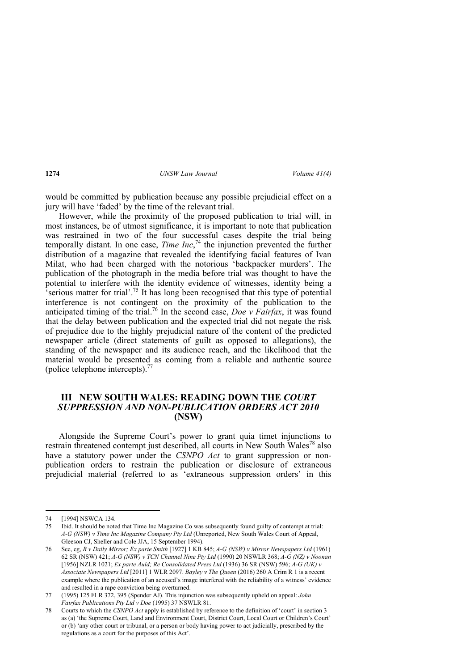would be committed by publication because any possible prejudicial effect on a jury will have 'faded' by the time of the relevant trial.

However, while the proximity of the proposed publication to trial will, in most instances, be of utmost significance, it is important to note that publication was restrained in two of the four successful cases despite the trial being temporally distant. In one case, *Time Inc*, 74 the injunction prevented the further distribution of a magazine that revealed the identifying facial features of Ivan Milat, who had been charged with the notorious 'backpacker murders'. The publication of the photograph in the media before trial was thought to have the potential to interfere with the identity evidence of witnesses, identity being a  $\cdot$  serious matter for trial'.<sup>75</sup> It has long been recognised that this type of potential interference is not contingent on the proximity of the publication to the anticipated timing of the trial.<sup>76</sup> In the second case, *Doe v Fairfax*, it was found that the delay between publication and the expected trial did not negate the risk of prejudice due to the highly prejudicial nature of the content of the predicted newspaper article (direct statements of guilt as opposed to allegations), the standing of the newspaper and its audience reach, and the likelihood that the material would be presented as coming from a reliable and authentic source (police telephone intercepts). $\frac{7}{7}$ 

# **III NEW SOUTH WALES: READING DOWN THE** *COURT SUPPRESSION AND NON-PUBLICATION ORDERS ACT 2010* **(NSW)**

Alongside the Supreme Court's power to grant quia timet injunctions to restrain threatened contempt just described, all courts in New South Wales<sup>78</sup> also have a statutory power under the *CSNPO Act* to grant suppression or nonpublication orders to restrain the publication or disclosure of extraneous prejudicial material (referred to as 'extraneous suppression orders' in this

<sup>74 [1994]</sup> NSWCA 134.<br>75 Ibid. It should be note

<sup>75</sup> Ibid. It should be noted that Time Inc Magazine Co was subsequently found guilty of contempt at trial: *A-G (NSW) v Time Inc Magazine Company Pty Ltd* (Unreported, New South Wales Court of Appeal, Gleeson CJ, Sheller and Cole JJA, 15 September 1994).

<sup>76</sup> See, eg, *R v Daily Mirror; Ex parte Smith* [1927] 1 KB 845; *A-G (NSW) v Mirror Newspapers Ltd* (1961) 62 SR (NSW) 421; *A-G (NSW) v TCN Channel Nine Pty Ltd* (1990) 20 NSWLR 368; *A-G (NZ) v Noonan*  [1956] NZLR 1021; *Ex parte Auld; Re Consolidated Press Ltd* (1936) 36 SR (NSW) 596; *A-G (UK) v Associate Newspapers Ltd* [2011] 1 WLR 2097. *Bayley v The Queen* (2016) 260 A Crim R 1 is a recent example where the publication of an accused's image interfered with the reliability of a witness' evidence and resulted in a rape conviction being overturned.

<sup>77 (1995) 125</sup> FLR 372, 395 (Spender AJ). This injunction was subsequently upheld on appeal: *John Fairfax Publications Pty Ltd v Doe* (1995) 37 NSWLR 81.

<sup>78</sup> Courts to which the *CSNPO Act* apply is established by reference to the definition of 'court' in section 3 as (a) 'the Supreme Court, Land and Environment Court, District Court, Local Court or Children's Court' or (b) 'any other court or tribunal, or a person or body having power to act judicially, prescribed by the regulations as a court for the purposes of this Act'.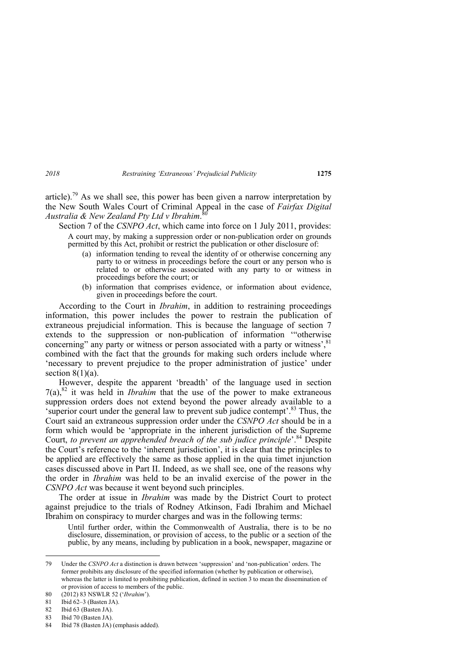article).<sup>79</sup> As we shall see, this power has been given a narrow interpretation by the New South Wales Court of Criminal Appeal in the case of *Fairfax Digital Australia & New Zealand Pty Ltd v Ibrahim*. 80

Section 7 of the *CSNPO Act*, which came into force on 1 July 2011, provides: A court may, by making a suppression order or non-publication order on grounds permitted by this Act, prohibit or restrict the publication or other disclosure of:

- (a) information tending to reveal the identity of or otherwise concerning any party to or witness in proceedings before the court or any person who is related to or otherwise associated with any party to or witness in proceedings before the court; or
- (b) information that comprises evidence, or information about evidence, given in proceedings before the court.

According to the Court in *Ibrahim*, in addition to restraining proceedings information, this power includes the power to restrain the publication of extraneous prejudicial information. This is because the language of section 7 extends to the suppression or non-publication of information '"otherwise concerning" any party or witness or person associated with a party or witness', $81$ combined with the fact that the grounds for making such orders include where 'necessary to prevent prejudice to the proper administration of justice' under section  $8(1)(a)$ .

However, despite the apparent 'breadth' of the language used in section  $7(a)$ ,  $82$  it was held in *Ibrahim* that the use of the power to make extraneous suppression orders does not extend beyond the power already available to a 'superior court under the general law to prevent sub judice contempt'.83 Thus, the Court said an extraneous suppression order under the *CSNPO Act* should be in a form which would be 'appropriate in the inherent jurisdiction of the Supreme Court, *to prevent an apprehended breach of the sub judice principle*'.84 Despite the Court's reference to the 'inherent jurisdiction', it is clear that the principles to be applied are effectively the same as those applied in the quia timet injunction cases discussed above in Part II. Indeed, as we shall see, one of the reasons why the order in *Ibrahim* was held to be an invalid exercise of the power in the *CSNPO Act* was because it went beyond such principles.

The order at issue in *Ibrahim* was made by the District Court to protect against prejudice to the trials of Rodney Atkinson, Fadi Ibrahim and Michael Ibrahim on conspiracy to murder charges and was in the following terms:

Until further order, within the Commonwealth of Australia, there is to be no disclosure, dissemination, or provision of access, to the public or a section of the public, by any means, including by publication in a book, newspaper, magazine or

Ibid 70 (Basten JA).

<sup>79</sup> Under the *CSNPO Act* a distinction is drawn between 'suppression' and 'non-publication' orders. The former prohibits any disclosure of the specified information (whether by publication or otherwise), whereas the latter is limited to prohibiting publication, defined in section 3 to mean the dissemination of or provision of access to members of the public.

<sup>80 (2012) 83</sup> NSWLR 52 ('*Ibrahim*').

<sup>81</sup> Ibid 62–3 (Basten JA).

<sup>82</sup> Ibid 63 (Basten JA).<br>83 Ibid 70 (Basten JA).

<sup>84</sup> Ibid 78 (Basten JA) (emphasis added).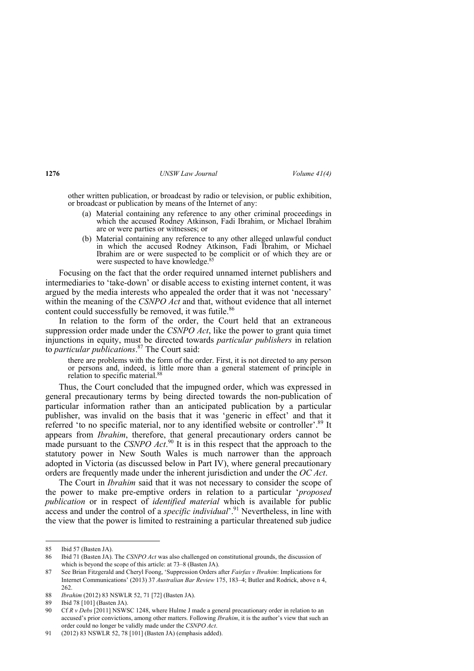other written publication, or broadcast by radio or television, or public exhibition, or broadcast or publication by means of the Internet of any:

- (a) Material containing any reference to any other criminal proceedings in which the accused Rodney Atkinson, Fadi Ibrahim, or Michael Ibrahim are or were parties or witnesses; or
- (b) Material containing any reference to any other alleged unlawful conduct in which the accused Rodney Atkinson, Fadi Ibrahim, or Michael Ibrahim are or were suspected to be complicit or of which they are or were suspected to have knowledge.<sup>85</sup>

Focusing on the fact that the order required unnamed internet publishers and intermediaries to 'take-down' or disable access to existing internet content, it was argued by the media interests who appealed the order that it was not 'necessary' within the meaning of the *CSNPO Act* and that, without evidence that all internet content could successfully be removed, it was futile.<sup>86</sup>

In relation to the form of the order, the Court held that an extraneous suppression order made under the *CSNPO Act*, like the power to grant quia timet injunctions in equity, must be directed towards *particular publishers* in relation to *particular publications*. 87 The Court said:

there are problems with the form of the order. First, it is not directed to any person or persons and, indeed, is little more than a general statement of principle in relation to specific material.<sup>88</sup>

Thus, the Court concluded that the impugned order, which was expressed in general precautionary terms by being directed towards the non-publication of particular information rather than an anticipated publication by a particular publisher, was invalid on the basis that it was 'generic in effect' and that it referred 'to no specific material, nor to any identified website or controller'.<sup>89</sup> It appears from *Ibrahim*, therefore, that general precautionary orders cannot be made pursuant to the *CSNPO Act*.<sup>90</sup> It is in this respect that the approach to the statutory power in New South Wales is much narrower than the approach adopted in Victoria (as discussed below in Part IV), where general precautionary orders are frequently made under the inherent jurisdiction and under the *OC Act*.

The Court in *Ibrahim* said that it was not necessary to consider the scope of the power to make pre-emptive orders in relation to a particular '*proposed publication* or in respect of *identified material* which is available for public access and under the control of a *specific individual*<sup>' 91</sup> Nevertheless, in line with the view that the power is limited to restraining a particular threatened sub judice

<sup>85</sup> Ibid 57 (Basten JA).

<sup>86</sup> Ibid 71 (Basten JA). The *CSNPO Act* was also challenged on constitutional grounds, the discussion of which is beyond the scope of this article: at 73–8 (Basten JA).

<sup>87</sup> See Brian Fitzgerald and Cheryl Foong, 'Suppression Orders after *Fairfax v Ibrahim*: Implications for Internet Communications' (2013) 37 *Australian Bar Review* 175, 183–4; Butler and Rodrick, above n 4, 262.

<sup>88</sup> *Ibrahim* (2012) 83 NSWLR 52, 71 [72] (Basten JA).

<sup>89</sup> Ibid 78 [101] (Basten JA).

<sup>90</sup> Cf *R v Debs* [2011] NSWSC 1248, where Hulme J made a general precautionary order in relation to an accused's prior convictions, among other matters. Following *Ibrahim*, it is the author's view that such an order could no longer be validly made under the *CSNPO Act*.

<sup>91 (2012) 83</sup> NSWLR 52, 78 [101] (Basten JA) (emphasis added).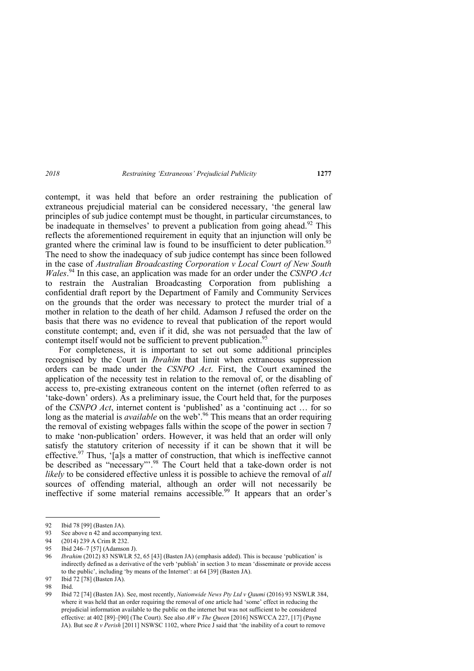contempt, it was held that before an order restraining the publication of extraneous prejudicial material can be considered necessary, 'the general law principles of sub judice contempt must be thought, in particular circumstances, to be inadequate in themselves' to prevent a publication from going ahead.<sup>92</sup> This reflects the aforementioned requirement in equity that an injunction will only be granted where the criminal law is found to be insufficient to deter publication.<sup>93</sup> The need to show the inadequacy of sub judice contempt has since been followed in the case of *Australian Broadcasting Corporation v Local Court of New South Wales*.<sup>94</sup> In this case, an application was made for an order under the *CSNPO Act* to restrain the Australian Broadcasting Corporation from publishing a confidential draft report by the Department of Family and Community Services on the grounds that the order was necessary to protect the murder trial of a mother in relation to the death of her child. Adamson J refused the order on the basis that there was no evidence to reveal that publication of the report would constitute contempt; and, even if it did, she was not persuaded that the law of contempt itself would not be sufficient to prevent publication.<sup>95</sup>

For completeness, it is important to set out some additional principles recognised by the Court in *Ibrahim* that limit when extraneous suppression orders can be made under the *CSNPO Act*. First, the Court examined the application of the necessity test in relation to the removal of, or the disabling of access to, pre-existing extraneous content on the internet (often referred to as 'take-down' orders). As a preliminary issue, the Court held that, for the purposes of the *CSNPO Act*, internet content is 'published' as a 'continuing act … for so long as the material is *available* on the web<sup>'.96</sup> This means that an order requiring the removal of existing webpages falls within the scope of the power in section 7 to make 'non-publication' orders. However, it was held that an order will only satisfy the statutory criterion of necessity if it can be shown that it will be effective.<sup>97</sup> Thus, '[a]s a matter of construction, that which is ineffective cannot be described as "necessary"<sup>.98</sup> The Court held that a take-down order is not *likely* to be considered effective unless it is possible to achieve the removal of *all* sources of offending material, although an order will not necessarily be ineffective if some material remains accessible.<sup>99</sup> It appears that an order's

<sup>92</sup> Ibid 78 [99] (Basten JA).

<sup>93</sup> See above n 42 and accompanying text.

<sup>94 (2014) 239</sup> A Crim R 232.

<sup>95</sup> Ibid 246–7 [57] (Adamson J).

<sup>96</sup> *Ibrahim* (2012) 83 NSWLR 52, 65 [43] (Basten JA) (emphasis added). This is because 'publication' is indirectly defined as a derivative of the verb 'publish' in section 3 to mean 'disseminate or provide access to the public', including 'by means of the Internet': at 64 [39] (Basten JA).

<sup>97</sup> Ibid 72 [78] (Basten JA).

<sup>98</sup> Ibid.

<sup>99</sup> Ibid 72 [74] (Basten JA). See, most recently, *Nationwide News Pty Ltd v Qaumi* (2016) 93 NSWLR 384, where it was held that an order requiring the removal of one article had 'some' effect in reducing the prejudicial information available to the public on the internet but was not sufficient to be considered effective: at 402 [89]–[90] (The Court). See also *AW v The Queen* [2016] NSWCCA 227, [17] (Payne JA). But see *R v Perish* [2011] NSWSC 1102, where Price J said that 'the inability of a court to remove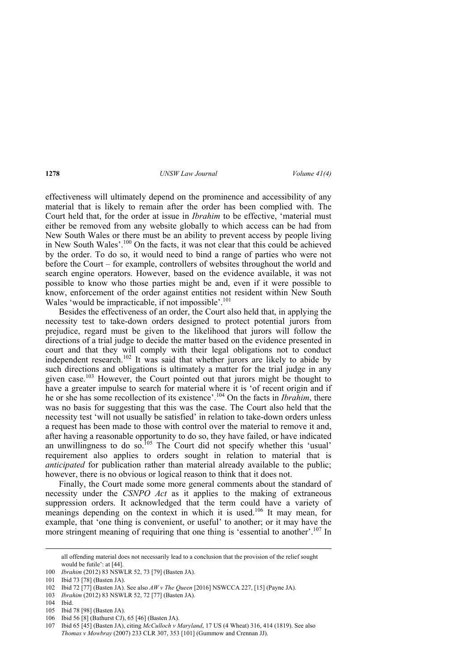effectiveness will ultimately depend on the prominence and accessibility of any material that is likely to remain after the order has been complied with. The Court held that, for the order at issue in *Ibrahim* to be effective, 'material must either be removed from any website globally to which access can be had from New South Wales or there must be an ability to prevent access by people living in New South Wales'.100 On the facts, it was not clear that this could be achieved by the order. To do so, it would need to bind a range of parties who were not before the Court – for example, controllers of websites throughout the world and search engine operators. However, based on the evidence available, it was not possible to know who those parties might be and, even if it were possible to know, enforcement of the order against entities not resident within New South Wales 'would be impracticable, if not impossible'.<sup>101</sup>

Besides the effectiveness of an order, the Court also held that, in applying the necessity test to take-down orders designed to protect potential jurors from prejudice, regard must be given to the likelihood that jurors will follow the directions of a trial judge to decide the matter based on the evidence presented in court and that they will comply with their legal obligations not to conduct independent research.<sup>102</sup> It was said that whether jurors are likely to abide by such directions and obligations is ultimately a matter for the trial judge in any given case.<sup>103</sup> However, the Court pointed out that jurors might be thought to have a greater impulse to search for material where it is 'of recent origin and if he or she has some recollection of its existence'.104 On the facts in *Ibrahim*, there was no basis for suggesting that this was the case. The Court also held that the necessity test 'will not usually be satisfied' in relation to take-down orders unless a request has been made to those with control over the material to remove it and, after having a reasonable opportunity to do so, they have failed, or have indicated an unwillingness to do so.<sup>105</sup> The Court did not specify whether this 'usual' requirement also applies to orders sought in relation to material that is *anticipated* for publication rather than material already available to the public; however, there is no obvious or logical reason to think that it does not.

Finally, the Court made some more general comments about the standard of necessity under the *CSNPO Act* as it applies to the making of extraneous suppression orders. It acknowledged that the term could have a variety of meanings depending on the context in which it is used.<sup>106</sup> It may mean, for example, that 'one thing is convenient, or useful' to another; or it may have the more stringent meaning of requiring that one thing is 'essential to another'.<sup>107</sup> In

 all offending material does not necessarily lead to a conclusion that the provision of the relief sought would be futile': at [44].

<sup>100</sup> *Ibrahim* (2012) 83 NSWLR 52, 73 [79] (Basten JA).

<sup>101</sup> Ibid 73 [78] (Basten JA).

<sup>102</sup> Ibid 72 [77] (Basten JA). See also *AW v The Queen* [2016] NSWCCA 227, [15] (Payne JA).

<sup>103</sup> *Ibrahim* (2012) 83 NSWLR 52, 72 [77] (Basten JA).

<sup>104</sup> Ibid.

<sup>105</sup> Ibid 78 [98] (Basten JA).

<sup>106</sup> Ibid 56 [8] (Bathurst CJ), 65 [46] (Basten JA).

<sup>107</sup> Ibid 65 [45] (Basten JA), citing *McCulloch v Maryland*, 17 US (4 Wheat) 316, 414 (1819). See also *Thomas v Mowbray* (2007) 233 CLR 307, 353 [101] (Gummow and Crennan JJ).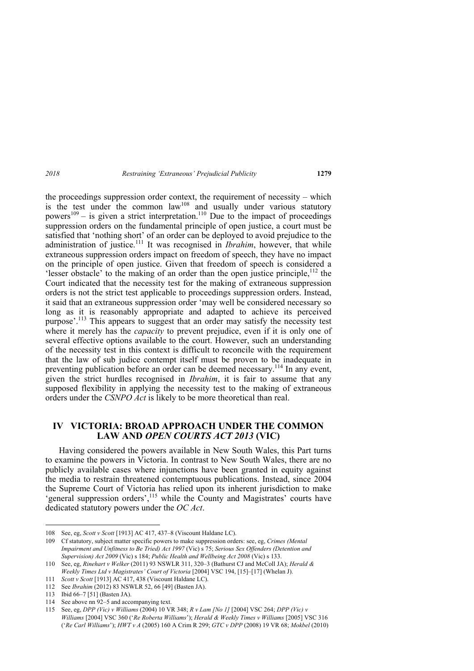the proceedings suppression order context, the requirement of necessity – which is the test under the common  $law^{108}$  and usually under various statutory powers<sup>109</sup> – is given a strict interpretation.<sup>110</sup> Due to the impact of proceedings suppression orders on the fundamental principle of open justice, a court must be satisfied that 'nothing short' of an order can be deployed to avoid prejudice to the administration of justice.<sup>111</sup> It was recognised in *Ibrahim*, however, that while extraneous suppression orders impact on freedom of speech, they have no impact on the principle of open justice. Given that freedom of speech is considered a 'lesser obstacle' to the making of an order than the open justice principle, $^{112}$  the Court indicated that the necessity test for the making of extraneous suppression orders is not the strict test applicable to proceedings suppression orders. Instead, it said that an extraneous suppression order 'may well be considered necessary so long as it is reasonably appropriate and adapted to achieve its perceived purpose'.<sup>113</sup> This appears to suggest that an order may satisfy the necessity test where it merely has the *capacity* to prevent prejudice, even if it is only one of several effective options available to the court. However, such an understanding of the necessity test in this context is difficult to reconcile with the requirement that the law of sub judice contempt itself must be proven to be inadequate in preventing publication before an order can be deemed necessary.<sup>114</sup> In any event, given the strict hurdles recognised in *Ibrahim*, it is fair to assume that any supposed flexibility in applying the necessity test to the making of extraneous

## **IV VICTORIA: BROAD APPROACH UNDER THE COMMON LAW AND** *OPEN COURTS ACT 2013* **(VIC)**

orders under the *CSNPO Act* is likely to be more theoretical than real.

Having considered the powers available in New South Wales, this Part turns to examine the powers in Victoria. In contrast to New South Wales, there are no publicly available cases where injunctions have been granted in equity against the media to restrain threatened contemptuous publications. Instead, since 2004 the Supreme Court of Victoria has relied upon its inherent jurisdiction to make 'general suppression orders',<sup>115</sup> while the County and Magistrates' courts have dedicated statutory powers under the *OC Act*.

<sup>108</sup> See, eg, *Scott v Scott* [1913] AC 417, 437–8 (Viscount Haldane LC).

<sup>109</sup> Cf statutory, subject matter specific powers to make suppression orders: see, eg, *Crimes (Mental Impairment and Unfitness to Be Tried) Act 1997* (Vic) s 75; *Serious Sex Offenders (Detention and Supervision) Act 2009* (Vic) s 184; *Public Health and Wellbeing Act 2008* (Vic) s 133.

<sup>110</sup> See, eg, *Rinehart v Welker* (2011) 93 NSWLR 311, 320–3 (Bathurst CJ and McColl JA); *Herald & Weekly Times Ltd v Magistrates' Court of Victoria* [2004] VSC 194, [15]–[17] (Whelan J).

<sup>111</sup> *Scott v Scott* [1913] AC 417, 438 (Viscount Haldane LC).

<sup>112</sup> See *Ibrahim* (2012) 83 NSWLR 52, 66 [49] (Basten JA).

<sup>113</sup> Ibid 66–7 [51] (Basten JA).

<sup>114</sup> See above nn 92–5 and accompanying text.

<sup>115</sup> See, eg, *DPP (Vic) v Williams* (2004) 10 VR 348; *R v Lam [No 1]* [2004] VSC 264; *DPP (Vic) v Williams* [2004] VSC 360 ('*Re Roberta Williams*'); *Herald & Weekly Times v Williams* [2005] VSC 316 ('*Re Carl Williams*'); *HWT v A* (2005) 160 A Crim R 299; *GTC v DPP* (2008) 19 VR 68; *Mokbel* (2010)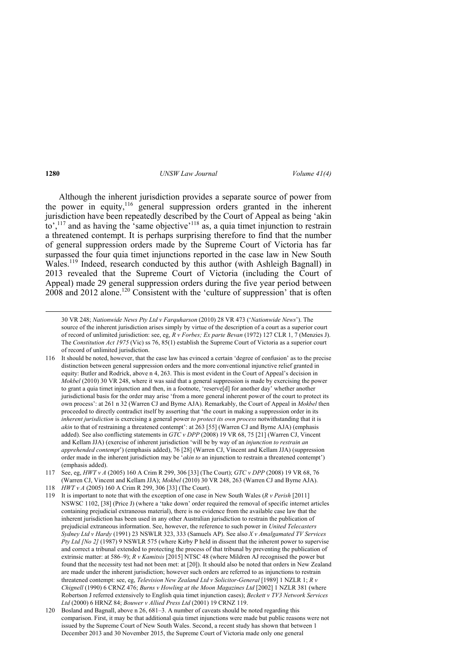Although the inherent jurisdiction provides a separate source of power from the power in equity,<sup>116</sup> general suppression orders granted in the inherent jurisdiction have been repeatedly described by the Court of Appeal as being 'akin to',<sup>117</sup> and as having the 'same objective'<sup>118</sup> as, a quia timet injunction to restrain a threatened contempt. It is perhaps surprising therefore to find that the number of general suppression orders made by the Supreme Court of Victoria has far surpassed the four quia timet injunctions reported in the case law in New South Wales.<sup>119</sup> Indeed, research conducted by this author (with Ashleigh Bagnall) in 2013 revealed that the Supreme Court of Victoria (including the Court of Appeal) made 29 general suppression orders during the five year period between 2008 and 2012 alone.120 Consistent with the 'culture of suppression' that is often

<u> Andreas Andreas Andreas Andreas Andreas Andreas Andreas Andreas Andreas Andreas Andreas Andreas Andreas Andr</u>

120 Bosland and Bagnall, above n 26, 681–3. A number of caveats should be noted regarding this comparison. First, it may be that additional quia timet injunctions were made but public reasons were not issued by the Supreme Court of New South Wales. Second, a recent study has shown that between 1 December 2013 and 30 November 2015, the Supreme Court of Victoria made only one general

<sup>30</sup> VR 248; *Nationwide News Pty Ltd v Farquharson* (2010) 28 VR 473 ('*Nationwide News*'). The source of the inherent jurisdiction arises simply by virtue of the description of a court as a superior court of record of unlimited jurisdiction: see, eg, *R v Forbes; Ex parte Bevan* (1972) 127 CLR 1, 7 (Menzies J). The *Constitution Act 1975* (Vic) ss 76, 85(1) establish the Supreme Court of Victoria as a superior court of record of unlimited jurisdiction.

<sup>116</sup> It should be noted, however, that the case law has evinced a certain 'degree of confusion' as to the precise distinction between general suppression orders and the more conventional injunctive relief granted in equity: Butler and Rodrick, above n 4, 263. This is most evident in the Court of Appeal's decision in *Mokbel* (2010) 30 VR 248, where it was said that a general suppression is made by exercising the power to grant a quia timet injunction and then, in a footnote, 'reserve[d] for another day' whether another jurisdictional basis for the order may arise 'from a more general inherent power of the court to protect its own process': at 261 n 32 (Warren CJ and Byrne AJA). Remarkably, the Court of Appeal in *Mokbel* then proceeded to directly contradict itself by asserting that 'the court in making a suppression order in its *inherent jurisdiction* is exercising a general power *to protect its own process* notwithstanding that it is *akin* to that of restraining a threatened contempt': at 263 [55] (Warren CJ and Byrne AJA) (emphasis added). See also conflicting statements in *GTC v DPP* (2008) 19 VR 68, 75 [21] (Warren CJ, Vincent and Kellam JJA) (exercise of inherent jurisdiction 'will be by way of an *injunction to restrain an apprehended contempt*') (emphasis added), 76 [28] (Warren CJ, Vincent and Kellam JJA) (suppression order made in the inherent jurisdiction may be '*akin to* an injunction to restrain a threatened contempt') (emphasis added).

<sup>117</sup> See, eg, *HWT v A* (2005) 160 A Crim R 299, 306 [33] (The Court); *GTC v DPP* (2008) 19 VR 68, 76 (Warren CJ, Vincent and Kellam JJA); *Mokbel* (2010) 30 VR 248, 263 (Warren CJ and Byrne AJA).

<sup>118</sup> *HWT v A* (2005) 160 A Crim R 299, 306 [33] (The Court).

<sup>119</sup> It is important to note that with the exception of one case in New South Wales (*R v Perish* [2011] NSWSC 1102, [38] (Price J) (where a 'take down' order required the removal of specific internet articles containing prejudicial extraneous material), there is no evidence from the available case law that the inherent jurisdiction has been used in any other Australian jurisdiction to restrain the publication of prejudicial extraneous information. See, however, the reference to such power in *United Telecasters Sydney Ltd v Hardy* (1991) 23 NSWLR 323, 333 (Samuels AP). See also *X v Amalgamated TV Services Pty Ltd [No 2]* (1987) 9 NSWLR 575 (where Kirby P held in dissent that the inherent power to supervise and correct a tribunal extended to protecting the process of that tribunal by preventing the publication of extrinsic matter: at 586–9); *R v Kamitsis* [2015] NTSC 48 (where Mildren AJ recognised the power but found that the necessity test had not been met: at [20]). It should also be noted that orders in New Zealand are made under the inherent jurisdiction; however such orders are referred to as injunctions to restrain threatened contempt: see, eg, *Television New Zealand Ltd v Solicitor-General* [1989] 1 NZLR 1; *R v Chignell* (1990) 6 CRNZ 476; *Burns v Howling at the Moon Magazines Ltd* [2002] 1 NZLR 381 (where Robertson J referred extensively to English quia timet injunction cases); *Beckett v TV3 Network Services Ltd* (2000) 6 HRNZ 84; *Bouwer v Allied Press Ltd* (2001) 19 CRNZ 119.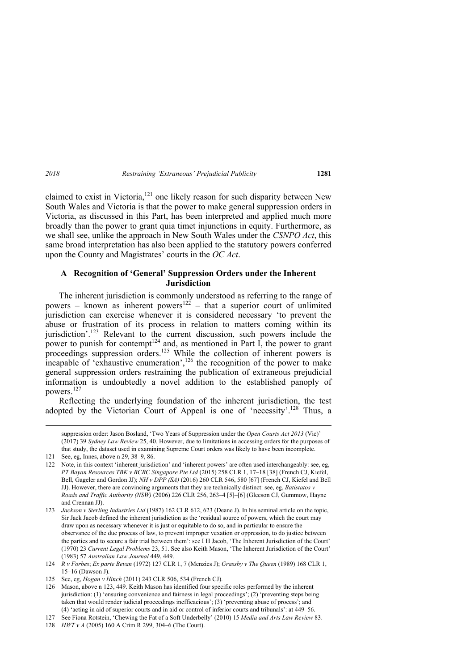claimed to exist in Victoria, $121$  one likely reason for such disparity between New South Wales and Victoria is that the power to make general suppression orders in Victoria, as discussed in this Part, has been interpreted and applied much more broadly than the power to grant quia timet injunctions in equity. Furthermore, as we shall see, unlike the approach in New South Wales under the *CSNPO Act*, this same broad interpretation has also been applied to the statutory powers conferred upon the County and Magistrates' courts in the *OC Act*.

### **A Recognition of 'General' Suppression Orders under the Inherent Jurisdiction**

The inherent jurisdiction is commonly understood as referring to the range of powers – known as inherent powers<sup>122</sup> – that a superior court of unlimited jurisdiction can exercise whenever it is considered necessary 'to prevent the abuse or frustration of its process in relation to matters coming within its jurisdiction'.<sup>123</sup> Relevant to the current discussion, such powers include the power to punish for contempt<sup>124</sup> and, as mentioned in Part I, the power to grant proceedings suppression orders.<sup>125</sup> While the collection of inherent powers is incapable of 'exhaustive enumeration',<sup>126</sup> the recognition of the power to make general suppression orders restraining the publication of extraneous prejudicial information is undoubtedly a novel addition to the established panoply of powers.<sup>127</sup>

Reflecting the underlying foundation of the inherent jurisdiction, the test adopted by the Victorian Court of Appeal is one of 'necessity'.<sup>128</sup> Thus, a

<u> Andrewski politika (za obrazu za obrazu za obrazu za obrazu za obrazu za obrazu za obrazu za obrazu za obrazu</u>

suppression order: Jason Bosland, 'Two Years of Suppression under the *Open Courts Act 2013* (Vic)' (2017) 39 *Sydney Law Review* 25, 40. However, due to limitations in accessing orders for the purposes of that study, the dataset used in examining Supreme Court orders was likely to have been incomplete.

<sup>121</sup> See, eg, Innes, above n 29, 38–9, 86.

<sup>122</sup> Note, in this context 'inherent jurisdiction' and 'inherent powers' are often used interchangeably: see, eg, *PT Bayan Resources TBK v BCBC Singapore Pte Ltd* (2015) 258 CLR 1, 17–18 [38] (French CJ, Kiefel, Bell, Gageler and Gordon JJ); *NH v DPP (SA)* (2016) 260 CLR 546, 580 [67] (French CJ, Kiefel and Bell JJ). However, there are convincing arguments that they are technically distinct: see, eg, *Batistatos v Roads and Traffic Authority (NSW)* (2006) 226 CLR 256, 263–4 [5]–[6] (Gleeson CJ, Gummow, Hayne and Crennan JJ).

<sup>123</sup> *Jackson v Sterling Industries Ltd* (1987) 162 CLR 612, 623 (Deane J). In his seminal article on the topic, Sir Jack Jacob defined the inherent jurisdiction as the 'residual source of powers, which the court may draw upon as necessary whenever it is just or equitable to do so, and in particular to ensure the observance of the due process of law, to prevent improper vexation or oppression, to do justice between the parties and to secure a fair trial between them': see I H Jacob, 'The Inherent Jurisdiction of the Court' (1970) 23 *Current Legal Problems* 23, 51. See also Keith Mason, 'The Inherent Jurisdiction of the Court' (1983) 57 *Australian Law Journal* 449, 449.

<sup>124</sup> *R v Forbes*; *Ex parte Bevan* (1972) 127 CLR 1, 7 (Menzies J); *Grassby v The Queen* (1989) 168 CLR 1, 15–16 (Dawson J).

<sup>125</sup> See, eg, *Hogan v Hinch* (2011) 243 CLR 506, 534 (French CJ).

<sup>126</sup> Mason, above n 123, 449. Keith Mason has identified four specific roles performed by the inherent jurisdiction: (1) 'ensuring convenience and fairness in legal proceedings'; (2) 'preventing steps being taken that would render judicial proceedings inefficacious'; (3) 'preventing abuse of process'; and (4) 'acting in aid of superior courts and in aid or control of inferior courts and tribunals': at 449–56.

<sup>127</sup> See Fiona Rotstein, 'Chewing the Fat of a Soft Underbelly' (2010) 15 *Media and Arts Law Review* 83.

<sup>128</sup> *HWT v A* (2005) 160 A Crim R 299, 304–6 (The Court).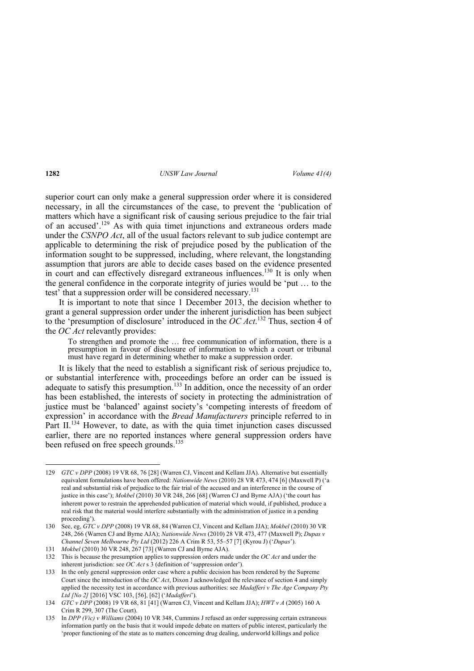superior court can only make a general suppression order where it is considered necessary, in all the circumstances of the case, to prevent the 'publication of matters which have a significant risk of causing serious prejudice to the fair trial of an accused'.129 As with quia timet injunctions and extraneous orders made under the *CSNPO Act*, all of the usual factors relevant to sub judice contempt are applicable to determining the risk of prejudice posed by the publication of the information sought to be suppressed, including, where relevant, the longstanding assumption that jurors are able to decide cases based on the evidence presented in court and can effectively disregard extraneous influences.<sup>130</sup> It is only when the general confidence in the corporate integrity of juries would be 'put … to the test' that a suppression order will be considered necessary.<sup>131</sup>

It is important to note that since 1 December 2013, the decision whether to grant a general suppression order under the inherent jurisdiction has been subject to the 'presumption of disclosure' introduced in the *OC Act*. 132 Thus, section 4 of the *OC Act* relevantly provides:

To strengthen and promote the … free communication of information, there is a presumption in favour of disclosure of information to which a court or tribunal must have regard in determining whether to make a suppression order.

It is likely that the need to establish a significant risk of serious prejudice to, or substantial interference with, proceedings before an order can be issued is adequate to satisfy this presumption.<sup>133</sup> In addition, once the necessity of an order has been established, the interests of society in protecting the administration of justice must be 'balanced' against society's 'competing interests of freedom of expression' in accordance with the *Bread Manufacturers* principle referred to in Part II.<sup>134</sup> However, to date, as with the quia timet injunction cases discussed earlier, there are no reported instances where general suppression orders have been refused on free speech grounds.<sup>135</sup>

<sup>129</sup> *GTC v DPP* (2008) 19 VR 68, 76 [28] (Warren CJ, Vincent and Kellam JJA). Alternative but essentially equivalent formulations have been offered: *Nationwide News* (2010) 28 VR 473, 474 [6] (Maxwell P) ('a real and substantial risk of prejudice to the fair trial of the accused and an interference in the course of justice in this case'); *Mokbel* (2010) 30 VR 248, 266 [68] (Warren CJ and Byrne AJA) ('the court has inherent power to restrain the apprehended publication of material which would, if published, produce a real risk that the material would interfere substantially with the administration of justice in a pending proceeding').

<sup>130</sup> See, eg, *GTC v DPP* (2008) 19 VR 68, 84 (Warren CJ, Vincent and Kellam JJA); *Mokbel* (2010) 30 VR 248, 266 (Warren CJ and Byrne AJA); *Nationwide News* (2010) 28 VR 473, 477 (Maxwell P); *Dupas v Channel Seven Melbourne Pty Ltd* (2012) 226 A Crim R 53, 55–57 [7] (Kyrou J) ('*Dupas*').

<sup>131</sup> *Mokbel* (2010) 30 VR 248, 267 [73] (Warren CJ and Byrne AJA).

<sup>132</sup> This is because the presumption applies to suppression orders made under the *OC Act* and under the inherent jurisdiction: see *OC Act* s 3 (definition of 'suppression order').

<sup>133</sup> In the only general suppression order case where a public decision has been rendered by the Supreme Court since the introduction of the *OC Act*, Dixon J acknowledged the relevance of section 4 and simply applied the necessity test in accordance with previous authorities: see *Madafferi v The Age Company Pty Ltd [No 2]* [2016] VSC 103, [56], [62] ('*Madafferi*').

<sup>134</sup> *GTC v DPP* (2008) 19 VR 68, 81 [41] (Warren CJ, Vincent and Kellam JJA); *HWT v A* (2005) 160 A Crim R 299, 307 (The Court).

<sup>135</sup> In *DPP (Vic) v Williams* (2004) 10 VR 348, Cummins J refused an order suppressing certain extraneous information partly on the basis that it would impede debate on matters of public interest, particularly the 'proper functioning of the state as to matters concerning drug dealing, underworld killings and police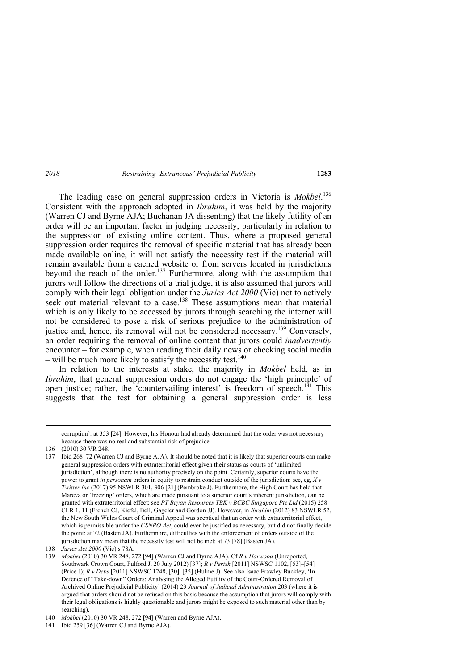The leading case on general suppression orders in Victoria is *Mokbel*. 136 Consistent with the approach adopted in *Ibrahim*, it was held by the majority (Warren CJ and Byrne AJA; Buchanan JA dissenting) that the likely futility of an order will be an important factor in judging necessity, particularly in relation to the suppression of existing online content. Thus, where a proposed general suppression order requires the removal of specific material that has already been made available online, it will not satisfy the necessity test if the material will remain available from a cached website or from servers located in jurisdictions beyond the reach of the order.<sup>137</sup> Furthermore, along with the assumption that jurors will follow the directions of a trial judge, it is also assumed that jurors will comply with their legal obligation under the *Juries Act 2000* (Vic) not to actively seek out material relevant to a case.<sup>138</sup> These assumptions mean that material which is only likely to be accessed by jurors through searching the internet will not be considered to pose a risk of serious prejudice to the administration of justice and, hence, its removal will not be considered necessary.<sup>139</sup> Conversely, an order requiring the removal of online content that jurors could *inadvertently*  encounter – for example, when reading their daily news or checking social media – will be much more likely to satisfy the necessity test.<sup>140</sup>

In relation to the interests at stake, the majority in *Mokbel* held, as in *Ibrahim*, that general suppression orders do not engage the 'high principle' of open justice; rather, the 'countervailing interest' is freedom of speech.<sup>141</sup> This suggests that the test for obtaining a general suppression order is less

<sup>&</sup>lt;u> Andrewski politika (za obrazu za obrazu za obrazu za obrazu za obrazu za obrazu za obrazu za obrazu za obrazu</u> corruption': at 353 [24]. However, his Honour had already determined that the order was not necessary because there was no real and substantial risk of prejudice.

<sup>136 (2010) 30</sup> VR 248.

<sup>137</sup> Ibid 268–72 (Warren CJ and Byrne AJA). It should be noted that it is likely that superior courts can make general suppression orders with extraterritorial effect given their status as courts of 'unlimited jurisdiction', although there is no authority precisely on the point. Certainly, superior courts have the power to grant *in personam* orders in equity to restrain conduct outside of the jurisdiction: see, eg, *X v Twitter Inc* (2017) 95 NSWLR 301, 306 [21] (Pembroke J). Furthermore, the High Court has held that Mareva or 'freezing' orders, which are made pursuant to a superior court's inherent jurisdiction, can be granted with extraterritorial effect: see *PT Bayan Resources TBK v BCBC Singapore Pte Ltd* (2015) 258 CLR 1, 11 (French CJ, Kiefel, Bell, Gageler and Gordon JJ). However, in *Ibrahim* (2012) 83 NSWLR 52, the New South Wales Court of Criminal Appeal was sceptical that an order with extraterritorial effect, which is permissible under the *CSNPO Act*, could ever be justified as necessary, but did not finally decide the point: at 72 (Basten JA). Furthermore, difficulties with the enforcement of orders outside of the jurisdiction may mean that the necessity test will not be met: at 73 [78] (Basten JA).

<sup>138</sup> *Juries Act 2000* (Vic) s 78A.

<sup>139</sup> *Mokbel* (2010) 30 VR 248, 272 [94] (Warren CJ and Byrne AJA). Cf *R v Harwood* (Unreported, Southwark Crown Court, Fulford J, 20 July 2012) [37]; *R v Perish* [2011] NSWSC 1102, [53]–[54] (Price J); *R v Debs* [2011] NSWSC 1248, [30]–[35] (Hulme J). See also Isaac Frawley Buckley, 'In Defence of "Take-down" Orders: Analysing the Alleged Futility of the Court-Ordered Removal of Archived Online Prejudicial Publicity' (2014) 23 *Journal of Judicial Administration* 203 (where it is argued that orders should not be refused on this basis because the assumption that jurors will comply with their legal obligations is highly questionable and jurors might be exposed to such material other than by searching).

<sup>140</sup> *Mokbel* (2010) 30 VR 248, 272 [94] (Warren and Byrne AJA).

<sup>141</sup> Ibid 259 [36] (Warren CJ and Byrne AJA).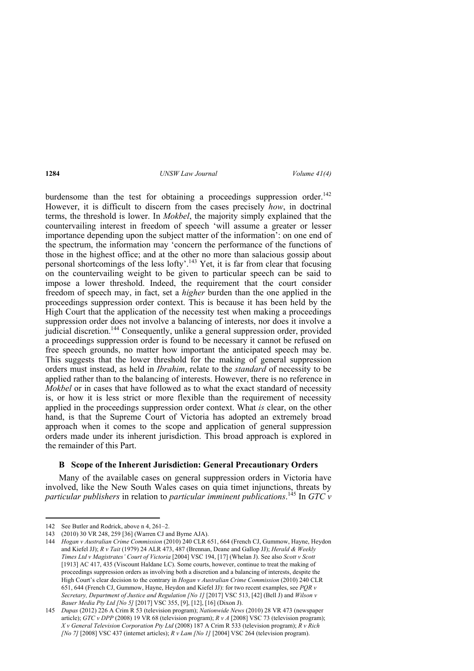burdensome than the test for obtaining a proceedings suppression order.<sup>142</sup> However, it is difficult to discern from the cases precisely *how*, in doctrinal terms, the threshold is lower. In *Mokbel*, the majority simply explained that the countervailing interest in freedom of speech 'will assume a greater or lesser importance depending upon the subject matter of the information': on one end of the spectrum, the information may 'concern the performance of the functions of those in the highest office; and at the other no more than salacious gossip about personal shortcomings of the less lofty'.<sup>143</sup> Yet, it is far from clear that focusing on the countervailing weight to be given to particular speech can be said to impose a lower threshold. Indeed, the requirement that the court consider freedom of speech may, in fact, set a *higher* burden than the one applied in the proceedings suppression order context. This is because it has been held by the High Court that the application of the necessity test when making a proceedings suppression order does not involve a balancing of interests, nor does it involve a judicial discretion.<sup>144</sup> Consequently, unlike a general suppression order, provided a proceedings suppression order is found to be necessary it cannot be refused on free speech grounds, no matter how important the anticipated speech may be. This suggests that the lower threshold for the making of general suppression orders must instead, as held in *Ibrahim*, relate to the *standard* of necessity to be applied rather than to the balancing of interests. However, there is no reference in *Mokbel* or in cases that have followed as to what the exact standard of necessity is, or how it is less strict or more flexible than the requirement of necessity applied in the proceedings suppression order context. What *is* clear, on the other hand, is that the Supreme Court of Victoria has adopted an extremely broad approach when it comes to the scope and application of general suppression orders made under its inherent jurisdiction. This broad approach is explored in the remainder of this Part.

#### **B Scope of the Inherent Jurisdiction: General Precautionary Orders**

Many of the available cases on general suppression orders in Victoria have involved, like the New South Wales cases on quia timet injunctions, threats by *particular publishers* in relation to *particular imminent publications*. 145 In *GTC v* 

 142 See Butler and Rodrick, above n 4, 261–2.

<sup>143 (2010) 30</sup> VR 248, 259 [36] (Warren CJ and Byrne AJA).

<sup>144</sup> *Hogan v Australian Crime Commission* (2010) 240 CLR 651, 664 (French CJ, Gummow, Hayne, Heydon and Kiefel JJ); *R v Tait* (1979) 24 ALR 473, 487 (Brennan, Deane and Gallop JJ); *Herald & Weekly Times Ltd v Magistrates' Court of Victoria* [2004] VSC 194, [17] (Whelan J). See also *Scott v Scott*  [1913] AC 417, 435 (Viscount Haldane LC). Some courts, however, continue to treat the making of proceedings suppression orders as involving both a discretion and a balancing of interests, despite the High Court's clear decision to the contrary in *Hogan v Australian Crime Commission* (2010) 240 CLR 651, 644 (French CJ, Gummow, Hayne, Heydon and Kiefel JJ): for two recent examples, see *PQR v Secretary, Department of Justice and Regulation [No 1]* [2017] VSC 513, [42] (Bell J) and *Wilson v Bauer Media Pty Ltd [No 5]* [2017] VSC 355, [9], [12], [16] (Dixon J).

<sup>145</sup> *Dupas* (2012) 226 A Crim R 53 (television program); *Nationwide News* (2010) 28 VR 473 (newspaper article); *GTC v DPP* (2008) 19 VR 68 (television program); *R v A* [2008] VSC 73 (television program); *X v General Television Corporation Pty Ltd* (2008) 187 A Crim R 533 (television program); *R v Rich [No 7]* [2008] VSC 437 (internet articles); *R v Lam [No 1]* [2004] VSC 264 (television program).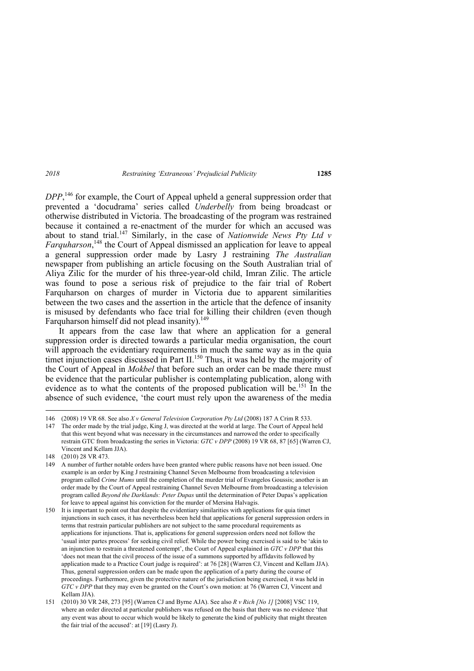*DPP*, 146 for example, the Court of Appeal upheld a general suppression order that prevented a 'docudrama' series called *Underbelly* from being broadcast or otherwise distributed in Victoria. The broadcasting of the program was restrained because it contained a re-enactment of the murder for which an accused was about to stand trial.<sup>147</sup> Similarly, in the case of *Nationwide News Pty Ltd v Farquharson*, 148 the Court of Appeal dismissed an application for leave to appeal a general suppression order made by Lasry J restraining *The Australian* newspaper from publishing an article focusing on the South Australian trial of Aliya Zilic for the murder of his three-year-old child, Imran Zilic. The article was found to pose a serious risk of prejudice to the fair trial of Robert Farquharson on charges of murder in Victoria due to apparent similarities between the two cases and the assertion in the article that the defence of insanity is misused by defendants who face trial for killing their children (even though Farquharson himself did not plead insanity).<sup>149</sup>

It appears from the case law that where an application for a general suppression order is directed towards a particular media organisation, the court will approach the evidentiary requirements in much the same way as in the quia timet injunction cases discussed in Part II.<sup>150</sup> Thus, it was held by the majority of the Court of Appeal in *Mokbel* that before such an order can be made there must be evidence that the particular publisher is contemplating publication, along with evidence as to what the contents of the proposed publication will be.<sup>151</sup> In the absence of such evidence, 'the court must rely upon the awareness of the media

<sup>146 (2008) 19</sup> VR 68. See also *X v General Television Corporation Pty Ltd* (2008) 187 A Crim R 533.

<sup>147</sup> The order made by the trial judge, King J, was directed at the world at large. The Court of Appeal held that this went beyond what was necessary in the circumstances and narrowed the order to specifically restrain GTC from broadcasting the series in Victoria: *GTC v DPP* (2008) 19 VR 68, 87 [65] (Warren CJ, Vincent and Kellam JJA).

<sup>148 (2010) 28</sup> VR 473.

<sup>149</sup> A number of further notable orders have been granted where public reasons have not been issued. One example is an order by King J restraining Channel Seven Melbourne from broadcasting a television program called *Crime Mums* until the completion of the murder trial of Evangelos Goussis; another is an order made by the Court of Appeal restraining Channel Seven Melbourne from broadcasting a television program called *Beyond the Darklands: Peter Dupas* until the determination of Peter Dupas's application for leave to appeal against his conviction for the murder of Mersina Halvagis.

<sup>150</sup> It is important to point out that despite the evidentiary similarities with applications for quia timet injunctions in such cases, it has nevertheless been held that applications for general suppression orders in terms that restrain particular publishers are not subject to the same procedural requirements as applications for injunctions. That is, applications for general suppression orders need not follow the 'usual inter partes process' for seeking civil relief. While the power being exercised is said to be 'akin to an injunction to restrain a threatened contempt', the Court of Appeal explained in *GTC v DPP* that this 'does not mean that the civil process of the issue of a summons supported by affidavits followed by application made to a Practice Court judge is required': at 76 [28] (Warren CJ, Vincent and Kellam JJA). Thus, general suppression orders can be made upon the application of a party during the course of proceedings. Furthermore, given the protective nature of the jurisdiction being exercised, it was held in *GTC v DPP* that they may even be granted on the Court's own motion: at 76 (Warren CJ, Vincent and Kellam JJA).

<sup>151 (2010) 30</sup> VR 248, 273 [95] (Warren CJ and Byrne AJA). See also *R v Rich [No 1]* [2008] VSC 119, where an order directed at particular publishers was refused on the basis that there was no evidence 'that any event was about to occur which would be likely to generate the kind of publicity that might threaten the fair trial of the accused': at [19] (Lasry J).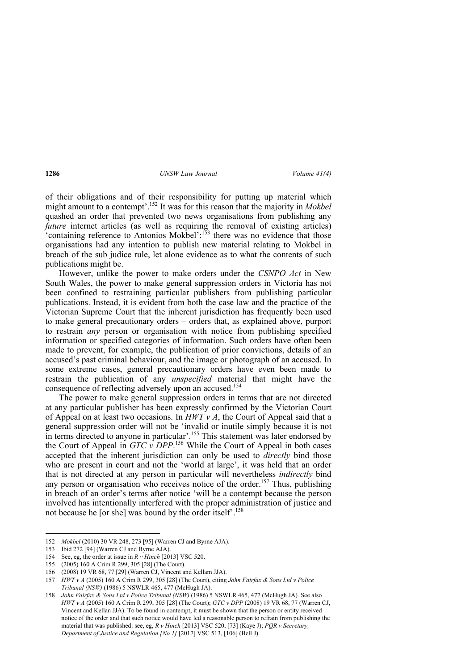of their obligations and of their responsibility for putting up material which might amount to a contempt'.152 It was for this reason that the majority in *Mokbel*  quashed an order that prevented two news organisations from publishing any *future* internet articles (as well as requiring the removal of existing articles) 'containing reference to Antonios Mokbel':<sup>153</sup> there was no evidence that those organisations had any intention to publish new material relating to Mokbel in breach of the sub judice rule, let alone evidence as to what the contents of such publications might be.

However, unlike the power to make orders under the *CSNPO Act* in New South Wales, the power to make general suppression orders in Victoria has not been confined to restraining particular publishers from publishing particular publications. Instead, it is evident from both the case law and the practice of the Victorian Supreme Court that the inherent jurisdiction has frequently been used to make general precautionary orders – orders that, as explained above, purport to restrain *any* person or organisation with notice from publishing specified information or specified categories of information. Such orders have often been made to prevent, for example, the publication of prior convictions, details of an accused's past criminal behaviour, and the image or photograph of an accused. In some extreme cases, general precautionary orders have even been made to restrain the publication of any *unspecified* material that might have the consequence of reflecting adversely upon an accused.<sup>154</sup>

The power to make general suppression orders in terms that are not directed at any particular publisher has been expressly confirmed by the Victorian Court of Appeal on at least two occasions. In  $HWT v A$ , the Court of Appeal said that a general suppression order will not be 'invalid or inutile simply because it is not in terms directed to anyone in particular'.<sup>155</sup> This statement was later endorsed by the Court of Appeal in *GTC v DPP*. 156 While the Court of Appeal in both cases accepted that the inherent jurisdiction can only be used to *directly* bind those who are present in court and not the 'world at large', it was held that an order that is not directed at any person in particular will nevertheless *indirectly* bind any person or organisation who receives notice of the order.<sup>157</sup> Thus, publishing in breach of an order's terms after notice 'will be a contempt because the person involved has intentionally interfered with the proper administration of justice and not because he [or she] was bound by the order itself<sup>'</sup>.<sup>158</sup>

<sup>152</sup> *Mokbel* (2010) 30 VR 248, 273 [95] (Warren CJ and Byrne AJA).

<sup>153</sup> Ibid 272 [94] (Warren CJ and Byrne AJA).

<sup>154</sup> See, eg, the order at issue in *R v Hinch* [2013] VSC 520.

<sup>155 (2005) 160</sup> A Crim R 299, 305 [28] (The Court).

<sup>156 (2008) 19</sup> VR 68, 77 [29] (Warren CJ, Vincent and Kellam JJA).

<sup>157</sup> *HWT v A* (2005) 160 A Crim R 299, 305 [28] (The Court), citing *John Fairfax & Sons Ltd v Police Tribunal (NSW)* (1986) 5 NSWLR 465, 477 (McHugh JA).

<sup>158</sup> *John Fairfax & Sons Ltd v Police Tribunal (NSW)* (1986) 5 NSWLR 465, 477 (McHugh JA). See also *HWT v A* (2005) 160 A Crim R 299, 305 [28] (The Court); *GTC v DPP* (2008) 19 VR 68, 77 (Warren CJ, Vincent and Kellan JJA). To be found in contempt, it must be shown that the person or entity received notice of the order and that such notice would have led a reasonable person to refrain from publishing the material that was published: see, eg, *R v Hinch* [2013] VSC 520, [73] (Kaye J); *PQR v Secretary, Department of Justice and Regulation [No 1]* [2017] VSC 513, [106] (Bell J).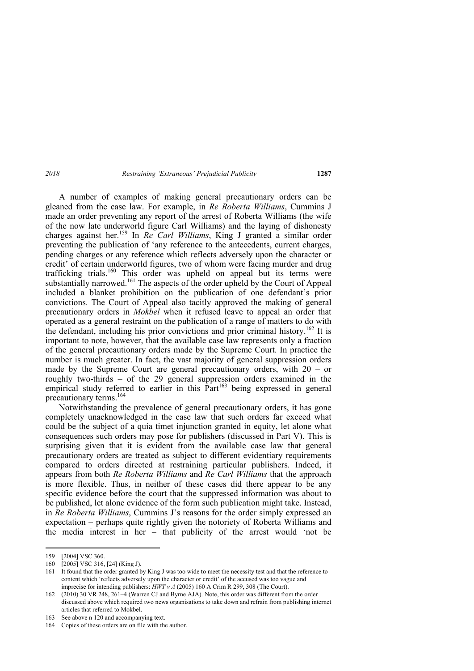A number of examples of making general precautionary orders can be gleaned from the case law. For example, in *Re Roberta Williams*, Cummins J made an order preventing any report of the arrest of Roberta Williams (the wife of the now late underworld figure Carl Williams) and the laying of dishonesty charges against her.159 In *Re Carl Williams*, King J granted a similar order preventing the publication of 'any reference to the antecedents, current charges, pending charges or any reference which reflects adversely upon the character or credit' of certain underworld figures, two of whom were facing murder and drug trafficking trials.<sup>160</sup> This order was upheld on appeal but its terms were substantially narrowed.<sup>161</sup> The aspects of the order upheld by the Court of Appeal included a blanket prohibition on the publication of one defendant's prior convictions. The Court of Appeal also tacitly approved the making of general precautionary orders in *Mokbel* when it refused leave to appeal an order that operated as a general restraint on the publication of a range of matters to do with the defendant, including his prior convictions and prior criminal history.<sup>162</sup> It is important to note, however, that the available case law represents only a fraction of the general precautionary orders made by the Supreme Court. In practice the number is much greater. In fact, the vast majority of general suppression orders made by the Supreme Court are general precautionary orders, with 20 – or roughly two-thirds – of the 29 general suppression orders examined in the empirical study referred to earlier in this  $\hat{Part}^{163}$  being expressed in general precautionary terms.<sup>164</sup>

Notwithstanding the prevalence of general precautionary orders, it has gone completely unacknowledged in the case law that such orders far exceed what could be the subject of a quia timet injunction granted in equity, let alone what consequences such orders may pose for publishers (discussed in Part V). This is surprising given that it is evident from the available case law that general precautionary orders are treated as subject to different evidentiary requirements compared to orders directed at restraining particular publishers. Indeed, it appears from both *Re Roberta Williams* and *Re Carl Williams* that the approach is more flexible. Thus, in neither of these cases did there appear to be any specific evidence before the court that the suppressed information was about to be published, let alone evidence of the form such publication might take. Instead, in *Re Roberta Williams*, Cummins J's reasons for the order simply expressed an expectation – perhaps quite rightly given the notoriety of Roberta Williams and the media interest in her – that publicity of the arrest would 'not be

<sup>159 [2004]</sup> VSC 360.

<sup>160 [2005]</sup> VSC 316, [24] (King J).

<sup>161</sup> It found that the order granted by King J was too wide to meet the necessity test and that the reference to content which 'reflects adversely upon the character or credit' of the accused was too vague and imprecise for intending publishers: *HWT v A* (2005) 160 A Crim R 299, 308 (The Court).

<sup>162 (2010) 30</sup> VR 248, 261–4 (Warren CJ and Byrne AJA). Note, this order was different from the order discussed above which required two news organisations to take down and refrain from publishing internet articles that referred to Mokbel.

<sup>163</sup> See above n 120 and accompanying text.

<sup>164</sup> Copies of these orders are on file with the author.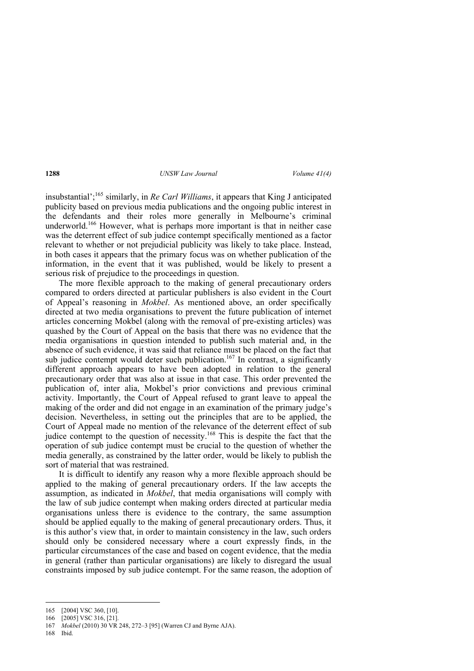insubstantial';165 similarly, in *Re Carl Williams*, it appears that King J anticipated publicity based on previous media publications and the ongoing public interest in the defendants and their roles more generally in Melbourne's criminal underworld.<sup>166</sup> However, what is perhaps more important is that in neither case was the deterrent effect of sub judice contempt specifically mentioned as a factor relevant to whether or not prejudicial publicity was likely to take place. Instead, in both cases it appears that the primary focus was on whether publication of the information, in the event that it was published, would be likely to present a serious risk of prejudice to the proceedings in question.

The more flexible approach to the making of general precautionary orders compared to orders directed at particular publishers is also evident in the Court of Appeal's reasoning in *Mokbel*. As mentioned above, an order specifically directed at two media organisations to prevent the future publication of internet articles concerning Mokbel (along with the removal of pre-existing articles) was quashed by the Court of Appeal on the basis that there was no evidence that the media organisations in question intended to publish such material and, in the absence of such evidence, it was said that reliance must be placed on the fact that sub judice contempt would deter such publication.<sup>167</sup> In contrast, a significantly different approach appears to have been adopted in relation to the general precautionary order that was also at issue in that case. This order prevented the publication of, inter alia, Mokbel's prior convictions and previous criminal activity. Importantly, the Court of Appeal refused to grant leave to appeal the making of the order and did not engage in an examination of the primary judge's decision. Nevertheless, in setting out the principles that are to be applied, the Court of Appeal made no mention of the relevance of the deterrent effect of sub judice contempt to the question of necessity.<sup>168</sup> This is despite the fact that the operation of sub judice contempt must be crucial to the question of whether the media generally, as constrained by the latter order, would be likely to publish the sort of material that was restrained.

It is difficult to identify any reason why a more flexible approach should be applied to the making of general precautionary orders. If the law accepts the assumption, as indicated in *Mokbel*, that media organisations will comply with the law of sub judice contempt when making orders directed at particular media organisations unless there is evidence to the contrary, the same assumption should be applied equally to the making of general precautionary orders. Thus, it is this author's view that, in order to maintain consistency in the law, such orders should only be considered necessary where a court expressly finds, in the particular circumstances of the case and based on cogent evidence, that the media in general (rather than particular organisations) are likely to disregard the usual constraints imposed by sub judice contempt. For the same reason, the adoption of

168 Ibid.

<sup>165 [2004]</sup> VSC 360, [10].

<sup>166 [2005]</sup> VSC 316, [21].

<sup>167</sup> *Mokbel* (2010) 30 VR 248, 272–3 [95] (Warren CJ and Byrne AJA).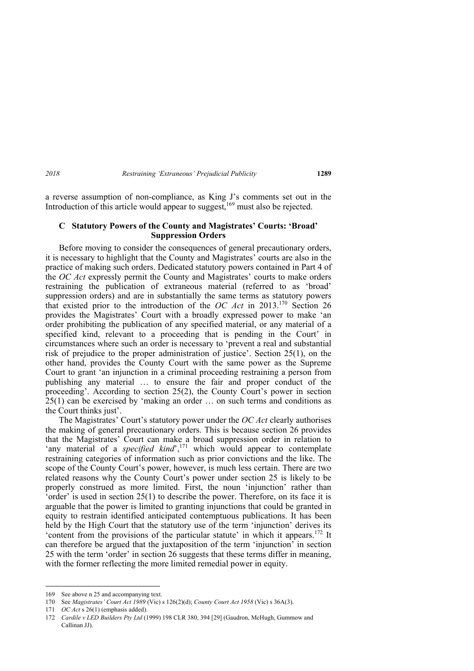a reverse assumption of non-compliance, as King J's comments set out in the Introduction of this article would appear to suggest,<sup>169</sup> must also be rejected.

### **C Statutory Powers of the County and Magistrates' Courts: 'Broad' Suppression Orders**

Before moving to consider the consequences of general precautionary orders, it is necessary to highlight that the County and Magistrates' courts are also in the practice of making such orders. Dedicated statutory powers contained in Part 4 of the *OC Act* expressly permit the County and Magistrates' courts to make orders restraining the publication of extraneous material (referred to as 'broad' suppression orders) and are in substantially the same terms as statutory powers that existed prior to the introduction of the *OC Act* in 2013.170 Section 26 provides the Magistrates' Court with a broadly expressed power to make 'an order prohibiting the publication of any specified material, or any material of a specified kind, relevant to a proceeding that is pending in the Court' in circumstances where such an order is necessary to 'prevent a real and substantial risk of prejudice to the proper administration of justice'. Section 25(1), on the other hand, provides the County Court with the same power as the Supreme Court to grant 'an injunction in a criminal proceeding restraining a person from publishing any material … to ensure the fair and proper conduct of the proceeding'. According to section 25(2), the County Court's power in section 25(1) can be exercised by 'making an order … on such terms and conditions as the Court thinks just'.

The Magistrates' Court's statutory power under the *OC Act* clearly authorises the making of general precautionary orders. This is because section 26 provides that the Magistrates' Court can make a broad suppression order in relation to 'any material of a *specified kind*',<sup>171</sup> which would appear to contemplate restraining categories of information such as prior convictions and the like. The scope of the County Court's power, however, is much less certain. There are two related reasons why the County Court's power under section 25 is likely to be properly construed as more limited. First, the noun 'injunction' rather than 'order' is used in section  $25(1)$  to describe the power. Therefore, on its face it is arguable that the power is limited to granting injunctions that could be granted in equity to restrain identified anticipated contemptuous publications. It has been held by the High Court that the statutory use of the term 'injunction' derives its 'content from the provisions of the particular statute' in which it appears.172 It can therefore be argued that the juxtaposition of the term 'injunction' in section 25 with the term 'order' in section 26 suggests that these terms differ in meaning, with the former reflecting the more limited remedial power in equity.

 169 See above n 25 and accompanying text.

<sup>170</sup> See *Magistrates' Court Act 1989* (Vic) s 126(2)(d); *County Court Act 1958* (Vic) s 36A(3).

<sup>171</sup> *OC Act* s 26(1) (emphasis added).

<sup>172</sup> *Cardile v LED Builders Pty Ltd* (1999) 198 CLR 380, 394 [29] (Gaudron, McHugh, Gummow and Callinan JJ).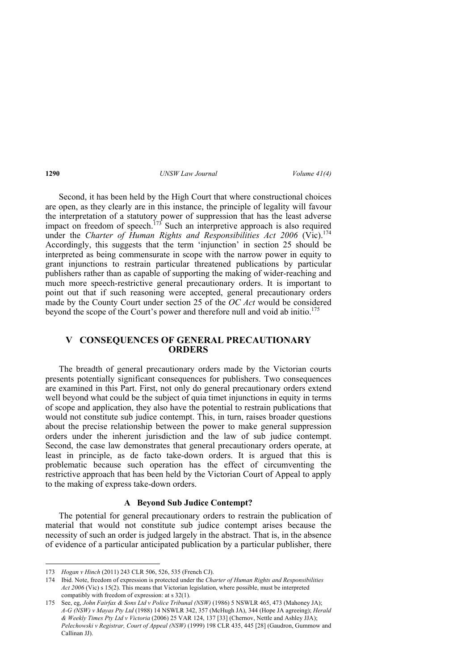Second, it has been held by the High Court that where constructional choices are open, as they clearly are in this instance, the principle of legality will favour the interpretation of a statutory power of suppression that has the least adverse impact on freedom of speech.<sup>173</sup> Such an interpretive approach is also required under the *Charter of Human Rights and Responsibilities Act 2006* (Vic).<sup>174</sup> Accordingly, this suggests that the term 'injunction' in section 25 should be interpreted as being commensurate in scope with the narrow power in equity to grant injunctions to restrain particular threatened publications by particular publishers rather than as capable of supporting the making of wider-reaching and much more speech-restrictive general precautionary orders. It is important to point out that if such reasoning were accepted, general precautionary orders made by the County Court under section 25 of the *OC Act* would be considered beyond the scope of the Court's power and therefore null and void ab initio.<sup>175</sup>

# **V CONSEQUENCES OF GENERAL PRECAUTIONARY ORDERS**

The breadth of general precautionary orders made by the Victorian courts presents potentially significant consequences for publishers. Two consequences are examined in this Part. First, not only do general precautionary orders extend well beyond what could be the subject of quia timet injunctions in equity in terms of scope and application, they also have the potential to restrain publications that would not constitute sub judice contempt. This, in turn, raises broader questions about the precise relationship between the power to make general suppression orders under the inherent jurisdiction and the law of sub judice contempt. Second, the case law demonstrates that general precautionary orders operate, at least in principle, as de facto take-down orders. It is argued that this is problematic because such operation has the effect of circumventing the restrictive approach that has been held by the Victorian Court of Appeal to apply to the making of express take-down orders.

## **A Beyond Sub Judice Contempt?**

The potential for general precautionary orders to restrain the publication of material that would not constitute sub judice contempt arises because the necessity of such an order is judged largely in the abstract. That is, in the absence of evidence of a particular anticipated publication by a particular publisher, there

<sup>173</sup> *Hogan v Hinch* (2011) 243 CLR 506, 526, 535 (French CJ).

<sup>174</sup> Ibid. Note, freedom of expression is protected under the *Charter of Human Rights and Responsibilities Act 2006* (Vic) s 15(2). This means that Victorian legislation, where possible, must be interpreted compatibly with freedom of expression: at s 32(1).

<sup>175</sup> See, eg, *John Fairfax & Sons Ltd v Police Tribunal (NSW)* (1986) 5 NSWLR 465, 473 (Mahoney JA); *A-G (NSW) v Mayas Pty Ltd* (1988) 14 NSWLR 342, 357 (McHugh JA), 344 (Hope JA agreeing); *Herald & Weekly Times Pty Ltd v Victoria* (2006) 25 VAR 124, 137 [33] (Chernov, Nettle and Ashley JJA); *Pelechowski v Registrar, Court of Appeal (NSW)* (1999) 198 CLR 435, 445 [28] (Gaudron, Gummow and Callinan JJ).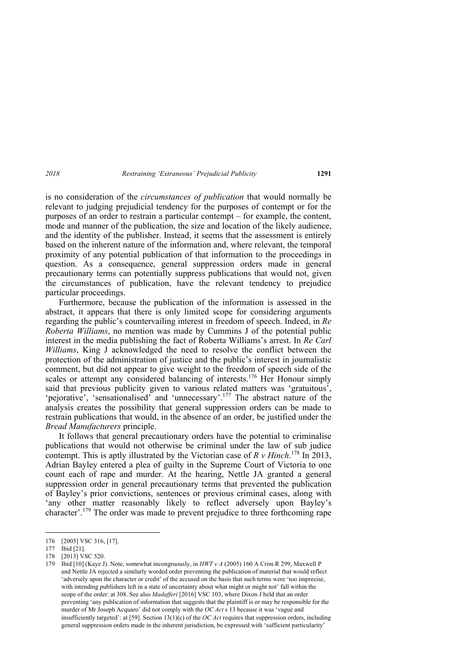is no consideration of the *circumstances of publication* that would normally be relevant to judging prejudicial tendency for the purposes of contempt or for the purposes of an order to restrain a particular contempt – for example, the content, mode and manner of the publication, the size and location of the likely audience, and the identity of the publisher. Instead, it seems that the assessment is entirely based on the inherent nature of the information and, where relevant, the temporal proximity of any potential publication of that information to the proceedings in question. As a consequence, general suppression orders made in general precautionary terms can potentially suppress publications that would not, given the circumstances of publication, have the relevant tendency to prejudice particular proceedings.

Furthermore, because the publication of the information is assessed in the abstract, it appears that there is only limited scope for considering arguments regarding the public's countervailing interest in freedom of speech. Indeed, in *Re Roberta Williams*, no mention was made by Cummins J of the potential public interest in the media publishing the fact of Roberta Williams's arrest. In *Re Carl Williams*, King J acknowledged the need to resolve the conflict between the protection of the administration of justice and the public's interest in journalistic comment, but did not appear to give weight to the freedom of speech side of the scales or attempt any considered balancing of interests.<sup>176</sup> Her Honour simply said that previous publicity given to various related matters was 'gratuitous', 'pejorative', 'sensationalised' and 'unnecessary'.<sup>177</sup> The abstract nature of the analysis creates the possibility that general suppression orders can be made to restrain publications that would, in the absence of an order, be justified under the *Bread Manufacturers* principle.

It follows that general precautionary orders have the potential to criminalise publications that would not otherwise be criminal under the law of sub judice contempt. This is aptly illustrated by the Victorian case of *R v Hinch*. 178 In 2013, Adrian Bayley entered a plea of guilty in the Supreme Court of Victoria to one count each of rape and murder. At the hearing, Nettle JA granted a general suppression order in general precautionary terms that prevented the publication of Bayley's prior convictions, sentences or previous criminal cases, along with 'any other matter reasonably likely to reflect adversely upon Bayley's character'.179 The order was made to prevent prejudice to three forthcoming rape

<sup>176 [2005]</sup> VSC 316, [17].

<sup>177</sup> Ibid [21].

<sup>178 [2013]</sup> VSC 520.

<sup>179</sup> Ibid [10] (Kaye J). Note, somewhat incongruously, in *HWT v A* (2005) 160 A Crim R 299, Maxwell P and Nettle JA rejected a similarly worded order preventing the publication of material that would reflect 'adversely upon the character or credit' of the accused on the basis that such terms were 'too imprecise, with intending publishers left in a state of uncertainty about what might or might not' fall within the scope of the order: at 308. See also *Madafferi* [2016] VSC 103, where Dixon J held that an order preventing 'any publication of information that suggests that the plaintiff is or may be responsible for the murder of Mr Joseph Acquaro' did not comply with the *OC Act* s 13 because it was 'vague and insufficiently targeted': at [59]. Section 13(1)(c) of the *OC Act* requires that suppression orders, including general suppression orders made in the inherent jurisdiction, be expressed with 'sufficient particularity'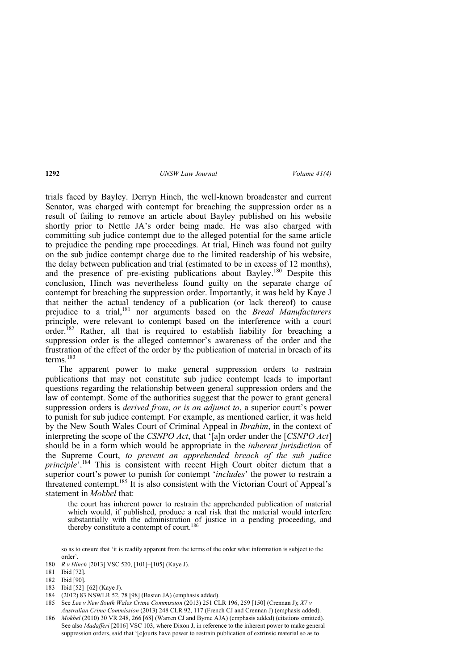trials faced by Bayley. Derryn Hinch, the well-known broadcaster and current Senator, was charged with contempt for breaching the suppression order as a result of failing to remove an article about Bayley published on his website shortly prior to Nettle JA's order being made. He was also charged with committing sub judice contempt due to the alleged potential for the same article to prejudice the pending rape proceedings. At trial, Hinch was found not guilty on the sub judice contempt charge due to the limited readership of his website, the delay between publication and trial (estimated to be in excess of 12 months), and the presence of pre-existing publications about Bayley.<sup>180</sup> Despite this conclusion, Hinch was nevertheless found guilty on the separate charge of contempt for breaching the suppression order. Importantly, it was held by Kaye J that neither the actual tendency of a publication (or lack thereof) to cause prejudice to a trial,<sup>181</sup> nor arguments based on the *Bread Manufacturers* principle, were relevant to contempt based on the interference with a court order.<sup>182</sup> Rather, all that is required to establish liability for breaching a suppression order is the alleged contemnor's awareness of the order and the frustration of the effect of the order by the publication of material in breach of its terms. $183$ 

The apparent power to make general suppression orders to restrain publications that may not constitute sub judice contempt leads to important questions regarding the relationship between general suppression orders and the law of contempt. Some of the authorities suggest that the power to grant general suppression orders is *derived from*, *or is an adjunct to*, a superior court's power to punish for sub judice contempt. For example, as mentioned earlier, it was held by the New South Wales Court of Criminal Appeal in *Ibrahim*, in the context of interpreting the scope of the *CSNPO Act*, that '[a]n order under the [*CSNPO Act*] should be in a form which would be appropriate in the *inherent jurisdiction* of the Supreme Court, *to prevent an apprehended breach of the sub judice principle*'.<sup>184</sup> This is consistent with recent High Court obiter dictum that a superior court's power to punish for contempt '*includes*' the power to restrain a threatened contempt.<sup>185</sup> It is also consistent with the Victorian Court of Appeal's statement in *Mokbel* that:

the court has inherent power to restrain the apprehended publication of material which would, if published, produce a real risk that the material would interfere substantially with the administration of justice in a pending proceeding, and thereby constitute a contempt of court.<sup>186</sup>

<sup>&</sup>lt;u> Andreas Andreas Andreas Andreas Andreas Andreas Andreas Andreas Andreas Andreas Andreas Andreas Andreas Andr</u> so as to ensure that 'it is readily apparent from the terms of the order what information is subject to the order'.

<sup>180</sup> *R v Hinch* [2013] VSC 520, [101]–[105] (Kaye J).

<sup>181</sup> Ibid [72].

<sup>182</sup> Ibid [90].

<sup>183</sup> Ibid [52]–[62] (Kaye J).

<sup>184 (2012) 83</sup> NSWLR 52, 78 [98] (Basten JA) (emphasis added).

<sup>185</sup> See *Lee v New South Wales Crime Commission* (2013) 251 CLR 196, 259 [150] (Crennan J); *X7 v Australian Crime Commission* (2013) 248 CLR 92, 117 (French CJ and Crennan J) (emphasis added).

<sup>186</sup> *Mokbel* (2010) 30 VR 248, 266 [68] (Warren CJ and Byrne AJA) (emphasis added) (citations omitted). See also *Madafferi* [2016] VSC 103, where Dixon J, in reference to the inherent power to make general suppression orders, said that '[c]ourts have power to restrain publication of extrinsic material so as to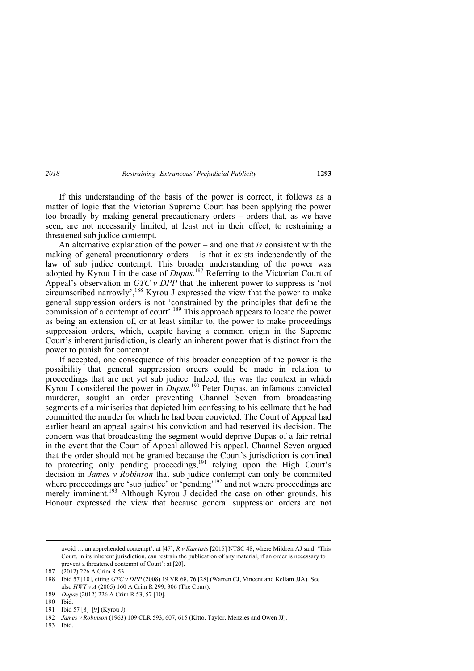If this understanding of the basis of the power is correct, it follows as a matter of logic that the Victorian Supreme Court has been applying the power too broadly by making general precautionary orders – orders that, as we have seen, are not necessarily limited, at least not in their effect, to restraining a threatened sub judice contempt.

An alternative explanation of the power – and one that *is* consistent with the making of general precautionary orders – is that it exists independently of the law of sub judice contempt. This broader understanding of the power was adopted by Kyrou J in the case of *Dupas*. 187 Referring to the Victorian Court of Appeal's observation in *GTC v DPP* that the inherent power to suppress is 'not circumscribed narrowly',<sup>188</sup> Kyrou J expressed the view that the power to make general suppression orders is not 'constrained by the principles that define the commission of a contempt of court'.<sup>189</sup> This approach appears to locate the power as being an extension of, or at least similar to, the power to make proceedings suppression orders, which, despite having a common origin in the Supreme Court's inherent jurisdiction, is clearly an inherent power that is distinct from the power to punish for contempt.

If accepted, one consequence of this broader conception of the power is the possibility that general suppression orders could be made in relation to proceedings that are not yet sub judice. Indeed, this was the context in which Kyrou J considered the power in *Dupas*. 190 Peter Dupas, an infamous convicted murderer, sought an order preventing Channel Seven from broadcasting segments of a miniseries that depicted him confessing to his cellmate that he had committed the murder for which he had been convicted. The Court of Appeal had earlier heard an appeal against his conviction and had reserved its decision. The concern was that broadcasting the segment would deprive Dupas of a fair retrial in the event that the Court of Appeal allowed his appeal. Channel Seven argued that the order should not be granted because the Court's jurisdiction is confined to protecting only pending proceedings,<sup>191</sup> relying upon the High Court's decision in *James v Robinson* that sub judice contempt can only be committed where proceedings are 'sub judice' or 'pending'<sup>192</sup> and not where proceedings are merely imminent.<sup>193</sup> Although Kyrou J decided the case on other grounds, his Honour expressed the view that because general suppression orders are not

<u> Andreas Andreas Andreas Andreas Andreas Andreas Andreas Andreas Andreas Andreas Andreas Andreas Andreas Andr</u>

avoid … an apprehended contempt': at [47]; *R v Kamitsis* [2015] NTSC 48, where Mildren AJ said: 'This Court, in its inherent jurisdiction, can restrain the publication of any material, if an order is necessary to prevent a threatened contempt of Court': at [20].

<sup>187 (2012) 226</sup> A Crim R 53.

<sup>188</sup> Ibid 57 [10], citing *GTC v DPP* (2008) 19 VR 68, 76 [28] (Warren CJ, Vincent and Kellam JJA). See also *HWT v A* (2005) 160 A Crim R 299, 306 (The Court).

<sup>189</sup> *Dupas* (2012) 226 A Crim R 53, 57 [10].

<sup>190</sup> Ibid.

<sup>191</sup> Ibid 57 [8]–[9] (Kyrou J).

<sup>192</sup> *James v Robinson* (1963) 109 CLR 593, 607, 615 (Kitto, Taylor, Menzies and Owen JJ).

<sup>193</sup> Ibid.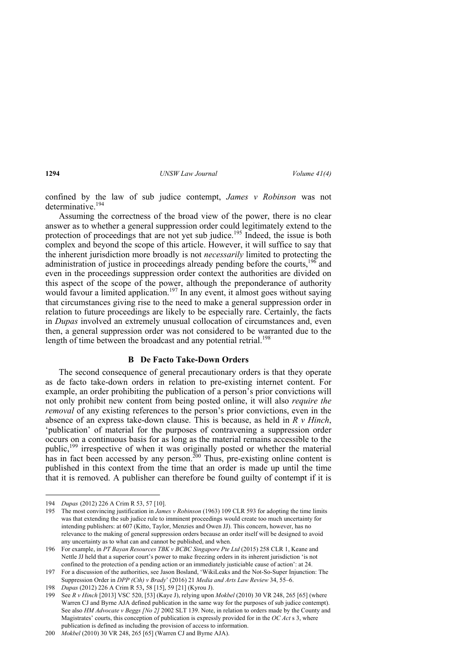confined by the law of sub judice contempt, *James v Robinson* was not determinative.<sup>194</sup>

Assuming the correctness of the broad view of the power, there is no clear answer as to whether a general suppression order could legitimately extend to the protection of proceedings that are not yet sub judice.<sup>195</sup> Indeed, the issue is both complex and beyond the scope of this article. However, it will suffice to say that the inherent jurisdiction more broadly is not *necessarily* limited to protecting the administration of justice in proceedings already pending before the courts,<sup>196</sup> and even in the proceedings suppression order context the authorities are divided on this aspect of the scope of the power, although the preponderance of authority would favour a limited application.<sup>197</sup> In any event, it almost goes without saying that circumstances giving rise to the need to make a general suppression order in relation to future proceedings are likely to be especially rare. Certainly, the facts in *Dupas* involved an extremely unusual collocation of circumstances and, even then, a general suppression order was not considered to be warranted due to the length of time between the broadcast and any potential retrial.<sup>198</sup>

#### **B De Facto Take-Down Orders**

The second consequence of general precautionary orders is that they operate as de facto take-down orders in relation to pre-existing internet content. For example, an order prohibiting the publication of a person's prior convictions will not only prohibit new content from being posted online, it will also *require the removal* of any existing references to the person's prior convictions, even in the absence of an express take-down clause. This is because, as held in *R v Hinch*, 'publication' of material for the purposes of contravening a suppression order occurs on a continuous basis for as long as the material remains accessible to the public,<sup>199</sup> irrespective of when it was originally posted or whether the material has in fact been accessed by any person.<sup>200</sup> Thus, pre-existing online content is published in this context from the time that an order is made up until the time that it is removed. A publisher can therefore be found guilty of contempt if it is

 194 *Dupas* (2012) 226 A Crim R 53, 57 [10].

<sup>195</sup> The most convincing justification in *James v Robinson* (1963) 109 CLR 593 for adopting the time limits was that extending the sub judice rule to imminent proceedings would create too much uncertainty for intending publishers: at 607 (Kitto, Taylor, Menzies and Owen JJ). This concern, however, has no relevance to the making of general suppression orders because an order itself will be designed to avoid any uncertainty as to what can and cannot be published, and when.

<sup>196</sup> For example, in *PT Bayan Resources TBK v BCBC Singapore Pte Ltd* (2015) 258 CLR 1, Keane and Nettle JJ held that a superior court's power to make freezing orders in its inherent jurisdiction 'is not confined to the protection of a pending action or an immediately justiciable cause of action': at 24.

<sup>197</sup> For a discussion of the authorities, see Jason Bosland, 'WikiLeaks and the Not-So-Super Injunction: The Suppression Order in *DPP (Cth) v Brady*' (2016) 21 *Media and Arts Law Review* 34, 55–6.

<sup>198</sup> *Dupas* (2012) 226 A Crim R 53, 58 [15], 59 [21] (Kyrou J).

<sup>199</sup> See *R v Hinch* [2013] VSC 520, [53] (Kaye J), relying upon *Mokbel* (2010) 30 VR 248, 265 [65] (where Warren CJ and Byrne AJA defined publication in the same way for the purposes of sub judice contempt). See also *HM Advocate v Beggs [No 2]* 2002 SLT 139. Note, in relation to orders made by the County and Magistrates' courts, this conception of publication is expressly provided for in the *OC Act* s 3, where publication is defined as including the provision of access to information.

<sup>200</sup> *Mokbel* (2010) 30 VR 248, 265 [65] (Warren CJ and Byrne AJA).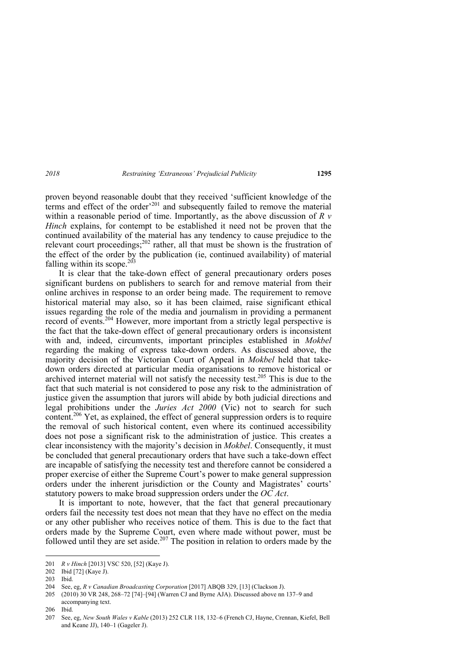proven beyond reasonable doubt that they received 'sufficient knowledge of the terms and effect of the order<sup>'201</sup> and subsequently failed to remove the material within a reasonable period of time. Importantly, as the above discussion of *R v Hinch* explains, for contempt to be established it need not be proven that the continued availability of the material has any tendency to cause prejudice to the relevant court proceedings;<sup>202</sup> rather, all that must be shown is the frustration of the effect of the order by the publication (ie, continued availability) of material falling within its scope. $203$ 

It is clear that the take-down effect of general precautionary orders poses significant burdens on publishers to search for and remove material from their online archives in response to an order being made. The requirement to remove historical material may also, so it has been claimed, raise significant ethical issues regarding the role of the media and journalism in providing a permanent record of events.<sup>204</sup> However, more important from a strictly legal perspective is the fact that the take-down effect of general precautionary orders is inconsistent with and, indeed, circumvents, important principles established in *Mokbel* regarding the making of express take-down orders. As discussed above, the majority decision of the Victorian Court of Appeal in *Mokbel* held that takedown orders directed at particular media organisations to remove historical or archived internet material will not satisfy the necessity test.<sup>205</sup> This is due to the fact that such material is not considered to pose any risk to the administration of justice given the assumption that jurors will abide by both judicial directions and legal prohibitions under the *Juries Act 2000* (Vic) not to search for such content.<sup>206</sup> Yet, as explained, the effect of general suppression orders is to require the removal of such historical content, even where its continued accessibility does not pose a significant risk to the administration of justice. This creates a clear inconsistency with the majority's decision in *Mokbel*. Consequently, it must be concluded that general precautionary orders that have such a take-down effect are incapable of satisfying the necessity test and therefore cannot be considered a proper exercise of either the Supreme Court's power to make general suppression orders under the inherent jurisdiction or the County and Magistrates' courts' statutory powers to make broad suppression orders under the *OC Act*.

It is important to note, however, that the fact that general precautionary orders fail the necessity test does not mean that they have no effect on the media or any other publisher who receives notice of them. This is due to the fact that orders made by the Supreme Court, even where made without power, must be followed until they are set aside.<sup>207</sup> The position in relation to orders made by the

 201 *R v Hinch* [2013] VSC 520, [52] (Kaye J).

<sup>202</sup> Ibid [72] (Kaye J).

<sup>203</sup> Ibid.

<sup>204</sup> See, eg, *R v Canadian Broadcasting Corporation* [2017] ABQB 329, [13] (Clackson J).

<sup>205 (2010) 30</sup> VR 248, 268–72 [74]–[94] (Warren CJ and Byrne AJA). Discussed above nn 137–9 and accompanying text.

<sup>206</sup> Ibid.

<sup>207</sup> See, eg, *New South Wales v Kable* (2013) 252 CLR 118, 132–6 (French CJ, Hayne, Crennan, Kiefel, Bell and Keane JJ), 140–1 (Gageler J).